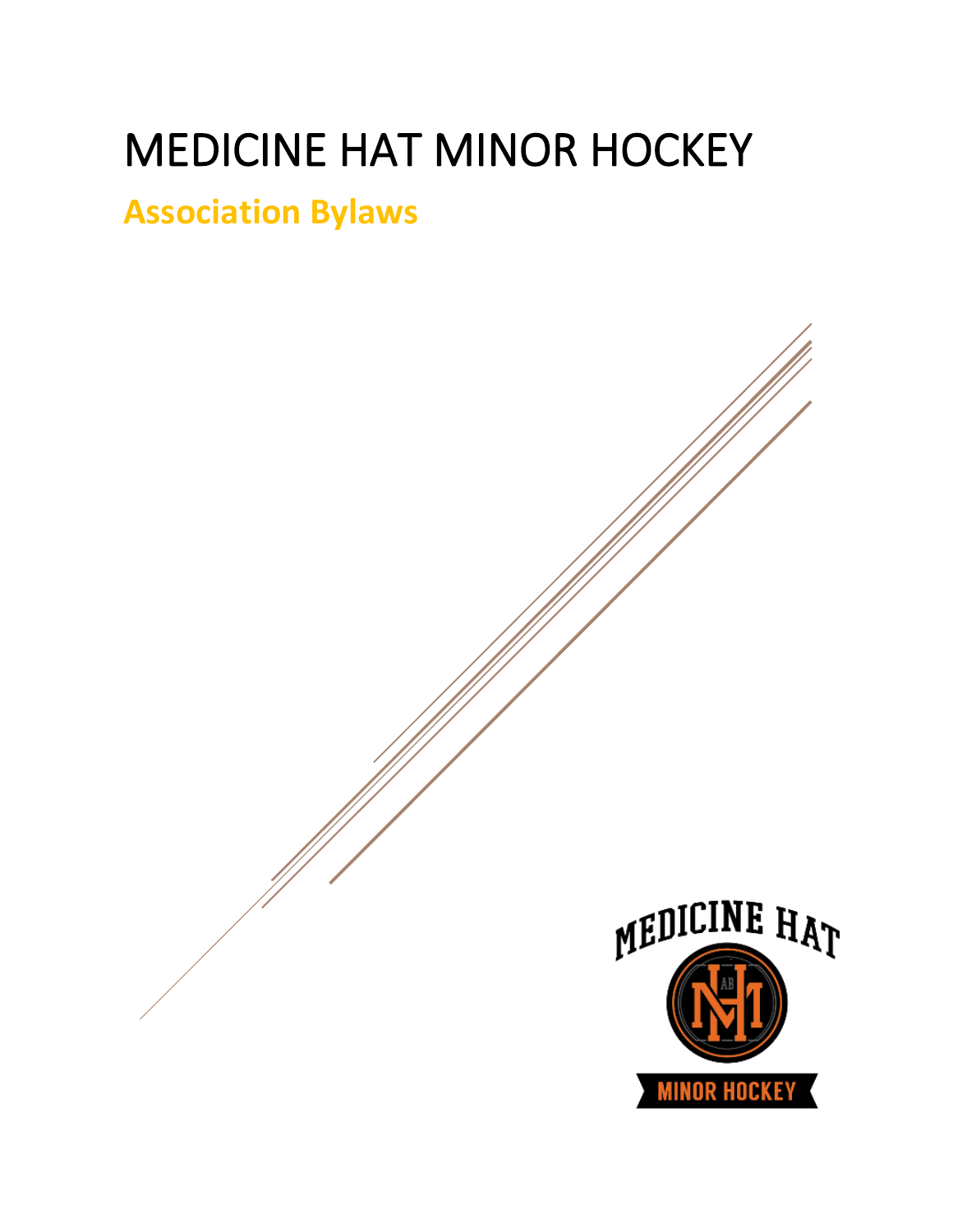# MEDICINE HAT MINOR HOCKEY

## **Association Bylaws**

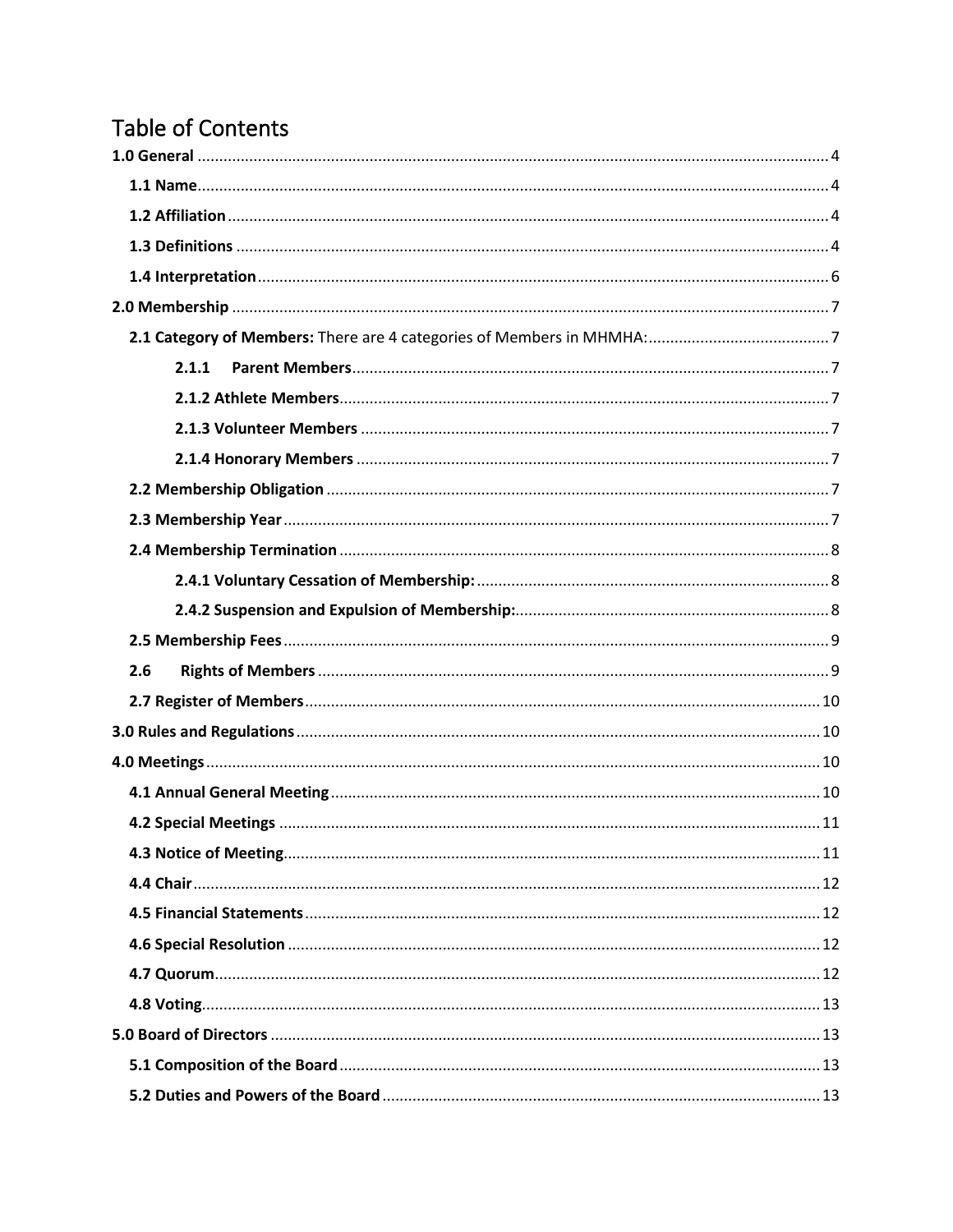## **Table of Contents**

| 2.1.1 |  |
|-------|--|
|       |  |
|       |  |
|       |  |
|       |  |
|       |  |
|       |  |
|       |  |
|       |  |
|       |  |
| 2.6   |  |
|       |  |
|       |  |
|       |  |
|       |  |
|       |  |
|       |  |
|       |  |
|       |  |
|       |  |
|       |  |
|       |  |
|       |  |
|       |  |
|       |  |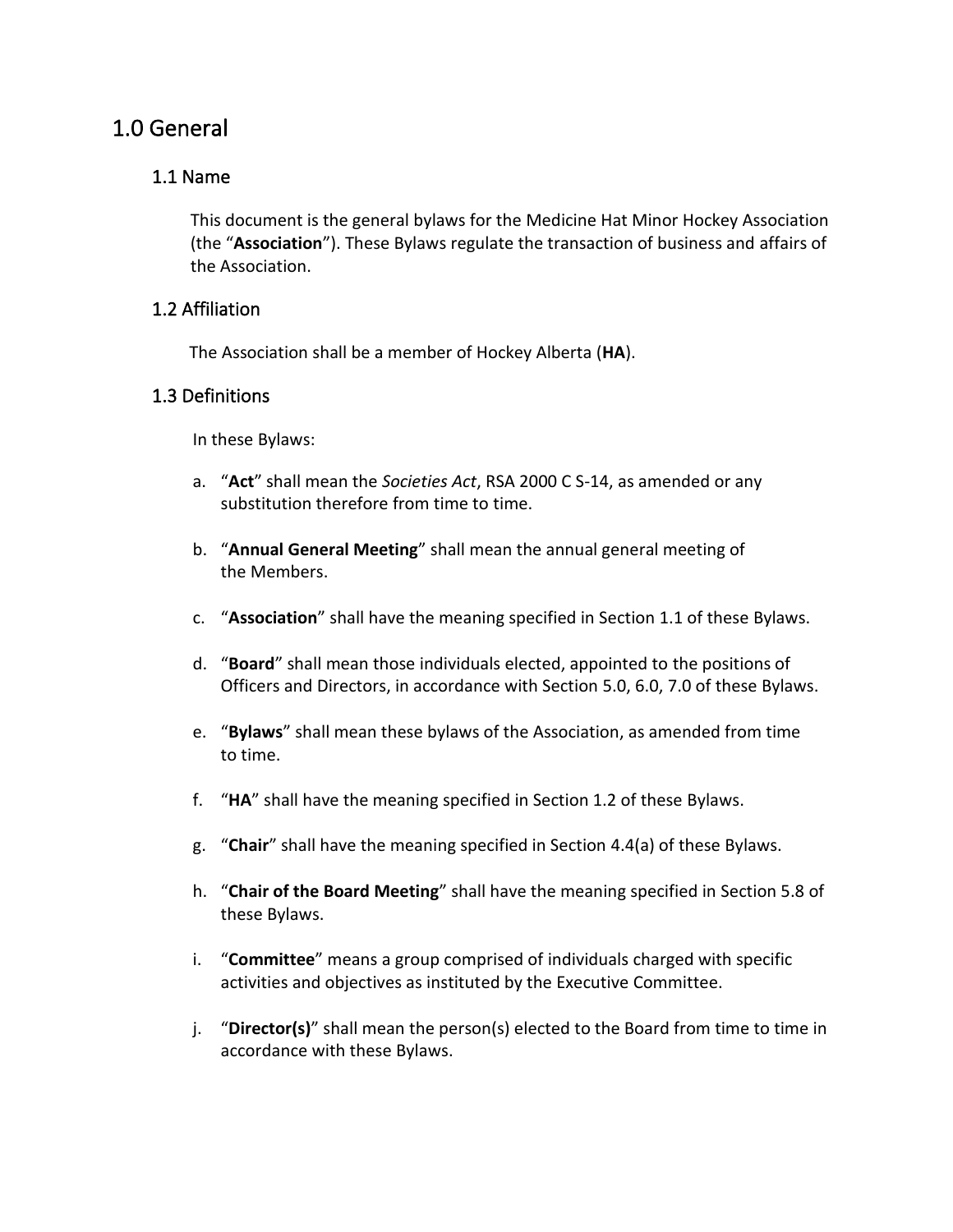## <span id="page-4-0"></span>1.0 General

#### <span id="page-4-1"></span>1.1 Name

This document is the general bylaws for the Medicine Hat Minor Hockey Association (the "**Association**"). These Bylaws regulate the transaction of business and affairs of the Association.

#### <span id="page-4-2"></span>1.2 Affiliation

The Association shall be a member of Hockey Alberta (**HA**).

#### <span id="page-4-3"></span>1.3 Definitions

In these Bylaws:

- a. "**Act**" shall mean the *Societies Act*, RSA 2000 C S-14, as amended or any substitution therefore from time to time.
- b. "**Annual General Meeting**" shall mean the annual general meeting of the Members.
- c. "**Association**" shall have the meaning specified in Section 1.1 of these Bylaws.
- d. "**Board**" shall mean those individuals elected, appointed to the positions of Officers and Directors, in accordance with Section 5.0, 6.0, 7.0 of these Bylaws.
- e. "**Bylaws**" shall mean these bylaws of the Association, as amended from time to time.
- f. "**HA**" shall have the meaning specified in Section 1.2 of these Bylaws.
- g. "**Chair**" shall have the meaning specified in Section 4.4(a) of these Bylaws.
- h. "**Chair of the Board Meeting**" shall have the meaning specified in Section 5.8 of these Bylaws.
- i. "**Committee**" means a group comprised of individuals charged with specific activities and objectives as instituted by the Executive Committee.
- j. "**Director(s)**" shall mean the person(s) elected to the Board from time to time in accordance with these Bylaws.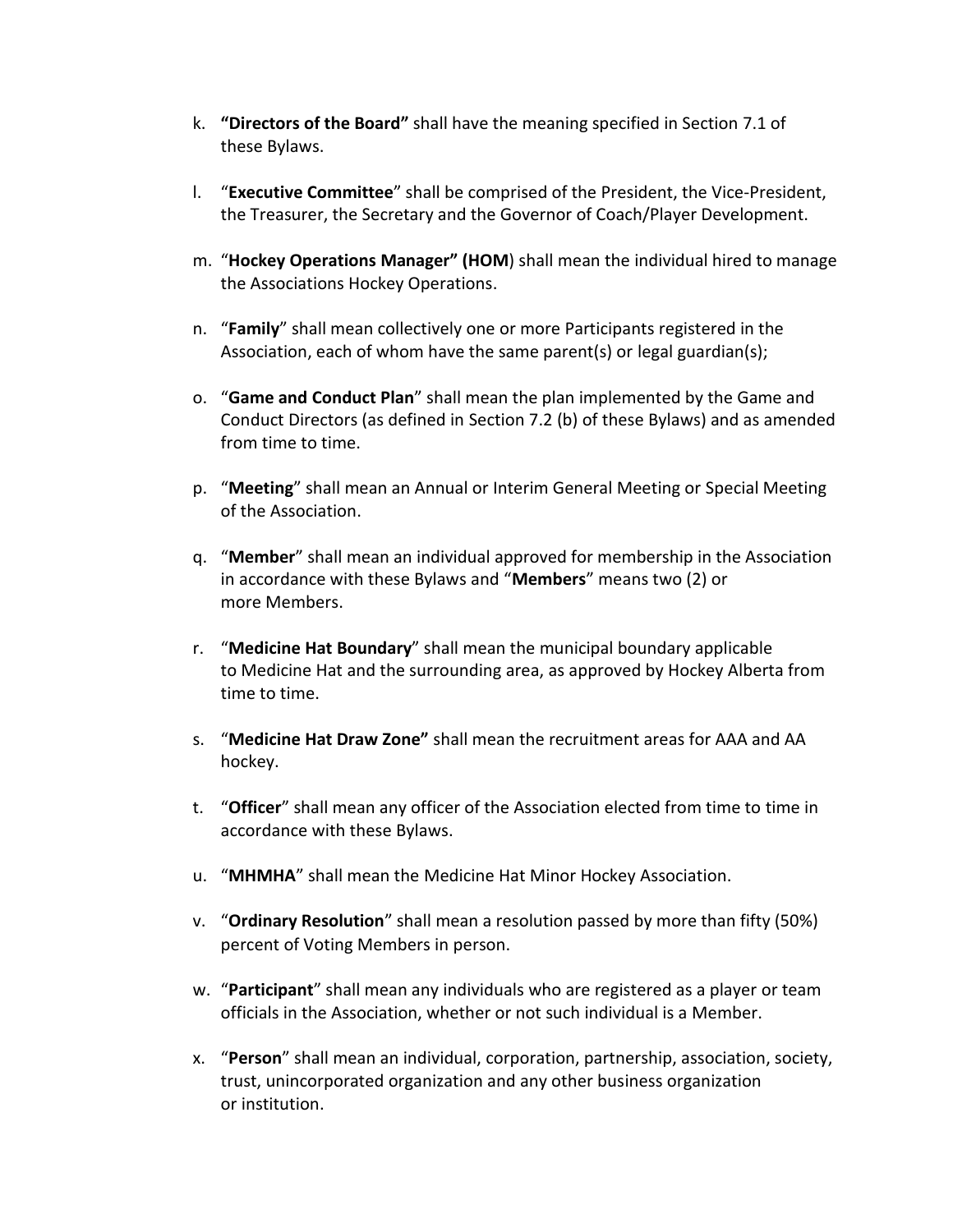- k. **"Directors of the Board"** shall have the meaning specified in Section 7.1 of these Bylaws.
- l. "**Executive Committee**" shall be comprised of the President, the Vice-President, the Treasurer, the Secretary and the Governor of Coach/Player Development.
- m. "**Hockey Operations Manager" (HOM**) shall mean the individual hired to manage the Associations Hockey Operations.
- n. "**Family**" shall mean collectively one or more Participants registered in the Association, each of whom have the same parent(s) or legal guardian(s);
- o. "**Game and Conduct Plan**" shall mean the plan implemented by the Game and Conduct Directors (as defined in Section 7.2 (b) of these Bylaws) and as amended from time to time.
- p. "**Meeting**" shall mean an Annual or Interim General Meeting or Special Meeting of the Association.
- q. "**Member**" shall mean an individual approved for membership in the Association in accordance with these Bylaws and "**Members**" means two (2) or more Members.
- r. "**Medicine Hat Boundary**" shall mean the municipal boundary applicable to Medicine Hat and the surrounding area, as approved by Hockey Alberta from time to time.
- s. "**Medicine Hat Draw Zone"** shall mean the recruitment areas for AAA and AA hockey.
- t. "**Officer**" shall mean any officer of the Association elected from time to time in accordance with these Bylaws.
- u. "**MHMHA**" shall mean the Medicine Hat Minor Hockey Association.
- v. "**Ordinary Resolution**" shall mean a resolution passed by more than fifty (50%) percent of Voting Members in person.
- w. "**Participant**" shall mean any individuals who are registered as a player or team officials in the Association, whether or not such individual is a Member.
- x. "**Person**" shall mean an individual, corporation, partnership, association, society, trust, unincorporated organization and any other business organization or institution.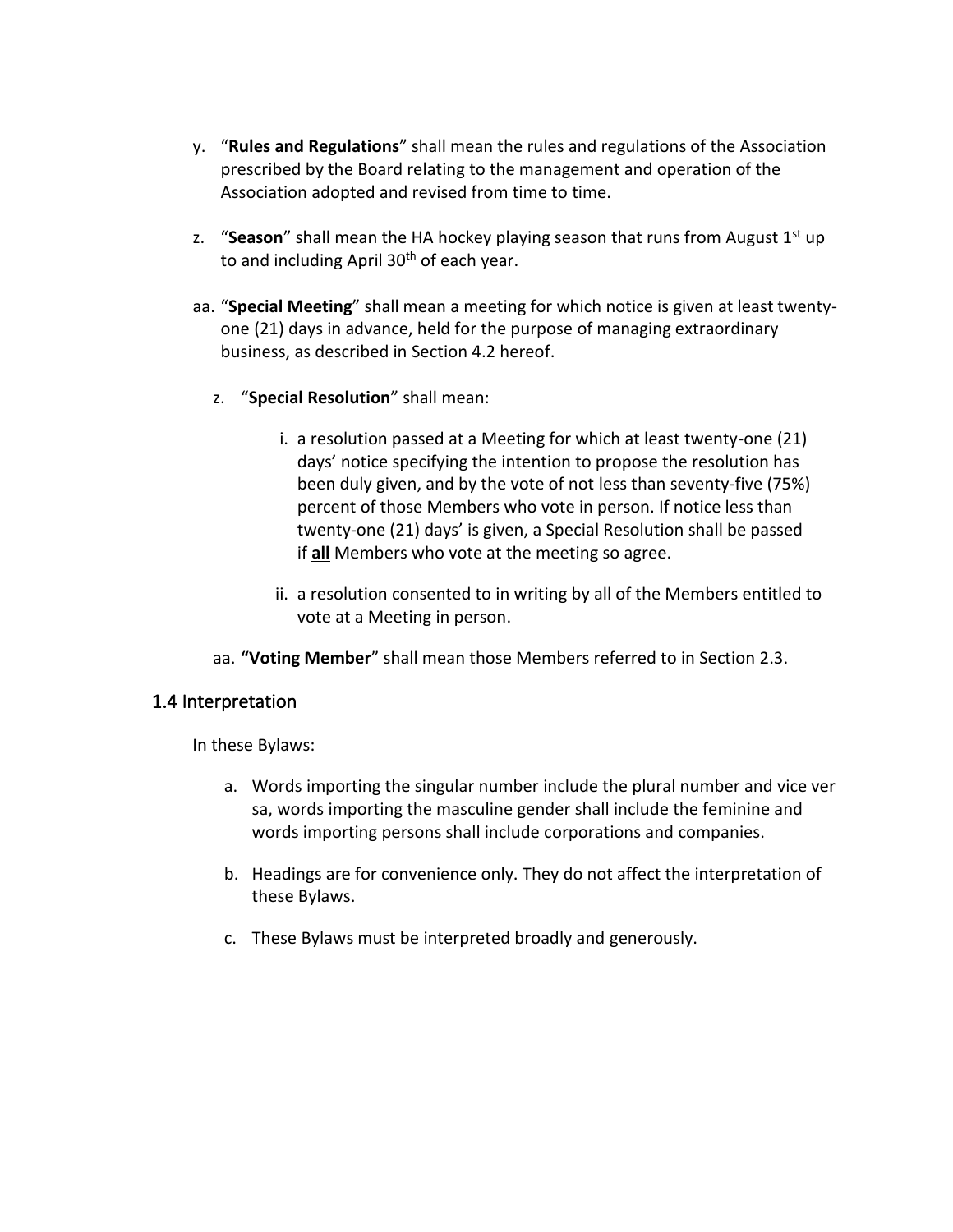- y. "**Rules and Regulations**" shall mean the rules and regulations of the Association prescribed by the Board relating to the management and operation of the Association adopted and revised from time to time.
- z. "Season" shall mean the HA hockey playing season that runs from August 1<sup>st</sup> up to and including April 30<sup>th</sup> of each year.
- aa. "**Special Meeting**" shall mean a meeting for which notice is given at least twentyone (21) days in advance, held for the purpose of managing extraordinary business, as described in Section 4.2 hereof.
	- z. "**Special Resolution**" shall mean:
		- i. a resolution passed at a Meeting for which at least twenty-one (21) days' notice specifying the intention to propose the resolution has been duly given, and by the vote of not less than seventy-five (75%) percent of those Members who vote in person. If notice less than twenty-one (21) days' is given, a Special Resolution shall be passed if **all** Members who vote at the meeting so agree.
		- ii. a resolution consented to in writing by all of the Members entitled to vote at a Meeting in person.
	- aa. **"Voting Member**" shall mean those Members referred to in Section 2.3.

#### <span id="page-6-0"></span>1.4 Interpretation

In these Bylaws:

- a. Words importing the singular number include the plural number and vice ver sa, words importing the masculine gender shall include the feminine and words importing persons shall include corporations and companies.
- b. Headings are for convenience only. They do not affect the interpretation of these Bylaws.
- c. These Bylaws must be interpreted broadly and generously.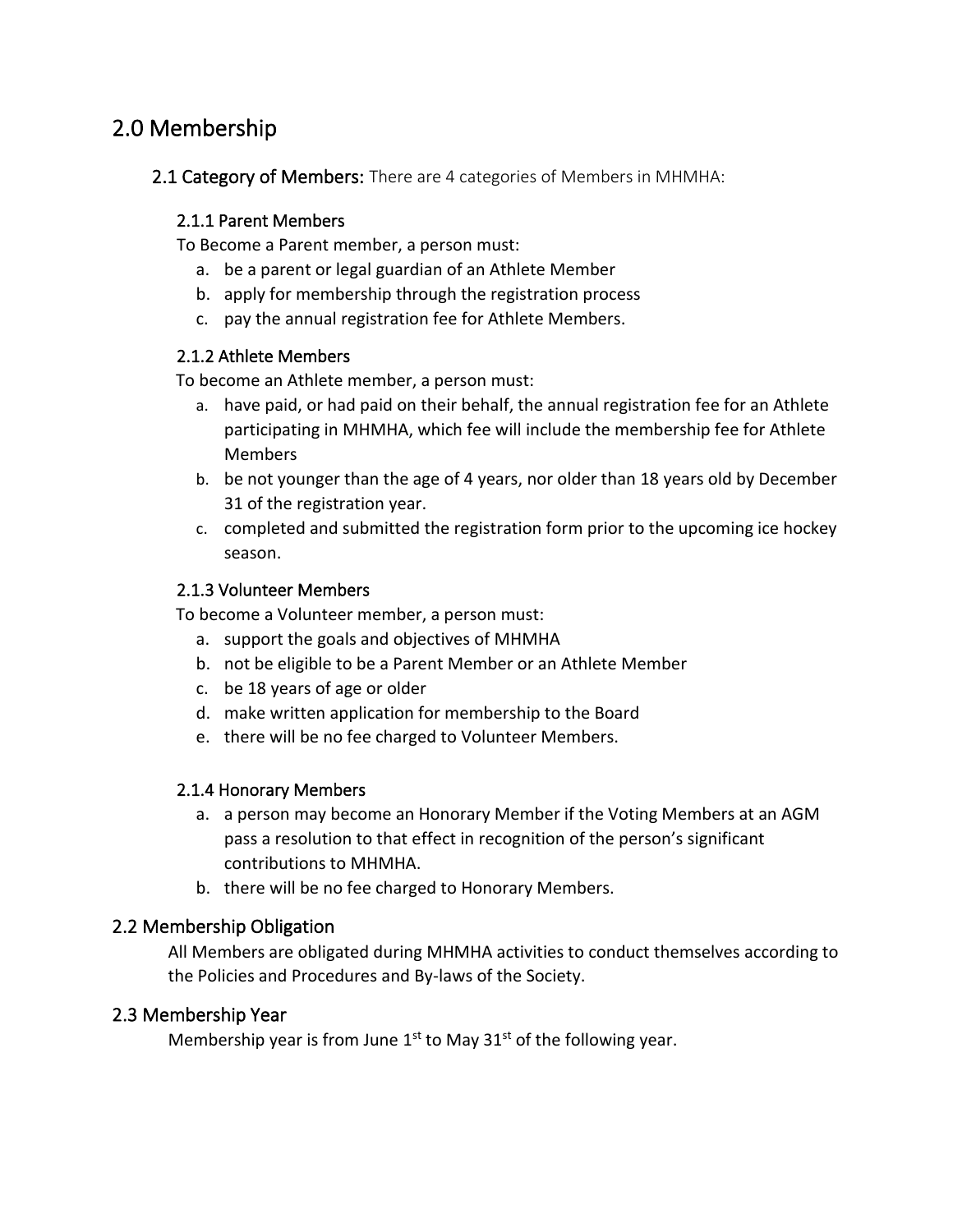## <span id="page-7-0"></span>2.0 Membership

<span id="page-7-1"></span>2.1 Category of Members: There are 4 categories of Members in MHMHA:

#### <span id="page-7-2"></span>2.1.1 Parent Members

To Become a Parent member, a person must:

- a. be a parent or legal guardian of an Athlete Member
- b. apply for membership through the registration process
- c. pay the annual registration fee for Athlete Members.

#### <span id="page-7-3"></span>2.1.2 Athlete Members

To become an Athlete member, a person must:

- a. have paid, or had paid on their behalf, the annual registration fee for an Athlete participating in MHMHA, which fee will include the membership fee for Athlete Members
- b. be not younger than the age of 4 years, nor older than 18 years old by December 31 of the registration year.
- c. completed and submitted the registration form prior to the upcoming ice hockey season.

#### <span id="page-7-4"></span>2.1.3 Volunteer Members

To become a Volunteer member, a person must:

- a. support the goals and objectives of MHMHA
- b. not be eligible to be a Parent Member or an Athlete Member
- c. be 18 years of age or older
- d. make written application for membership to the Board
- e. there will be no fee charged to Volunteer Members.

#### <span id="page-7-5"></span>2.1.4 Honorary Members

- a. a person may become an Honorary Member if the Voting Members at an AGM pass a resolution to that effect in recognition of the person's significant contributions to MHMHA.
- b. there will be no fee charged to Honorary Members.

#### <span id="page-7-6"></span>2.2 Membership Obligation

All Members are obligated during MHMHA activities to conduct themselves according to the Policies and Procedures and By-laws of the Society.

#### <span id="page-7-7"></span>2.3 Membership Year

Membership year is from June  $1<sup>st</sup>$  to May  $31<sup>st</sup>$  of the following year.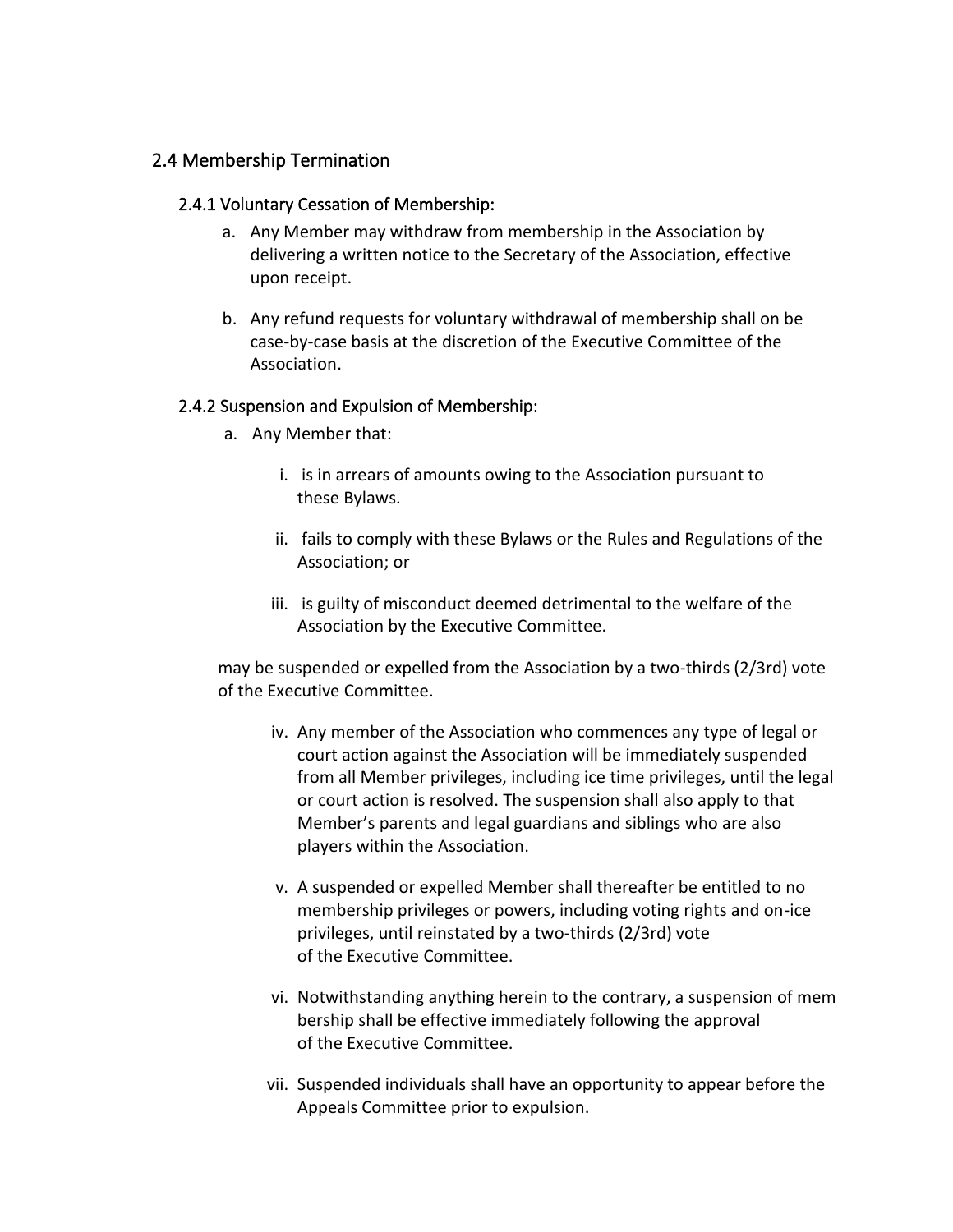#### <span id="page-8-1"></span><span id="page-8-0"></span>2.4 Membership Termination

#### 2.4.1 Voluntary Cessation of Membership:

- a. Any Member may withdraw from membership in the Association by delivering a written notice to the Secretary of the Association, effective upon receipt.
- b. Any refund requests for voluntary withdrawal of membership shall on be case-by-case basis at the discretion of the Executive Committee of the Association.

#### <span id="page-8-2"></span>2.4.2 Suspension and Expulsion of Membership:

- a. Any Member that:
	- i. is in arrears of amounts owing to the Association pursuant to these Bylaws.
	- ii. fails to comply with these Bylaws or the Rules and Regulations of the Association; or
	- iii. is guilty of misconduct deemed detrimental to the welfare of the Association by the Executive Committee.

may be suspended or expelled from the Association by a two-thirds (2/3rd) vote of the Executive Committee.

- iv. Any member of the Association who commences any type of legal or court action against the Association will be immediately suspended from all Member privileges, including ice time privileges, until the legal or court action is resolved. The suspension shall also apply to that Member's parents and legal guardians and siblings who are also players within the Association.
- v. A suspended or expelled Member shall thereafter be entitled to no membership privileges or powers, including voting rights and on-ice privileges, until reinstated by a two-thirds (2/3rd) vote of the Executive Committee.
- vi. Notwithstanding anything herein to the contrary, a suspension of mem bership shall be effective immediately following the approval of the Executive Committee.
- vii. Suspended individuals shall have an opportunity to appear before the Appeals Committee prior to expulsion.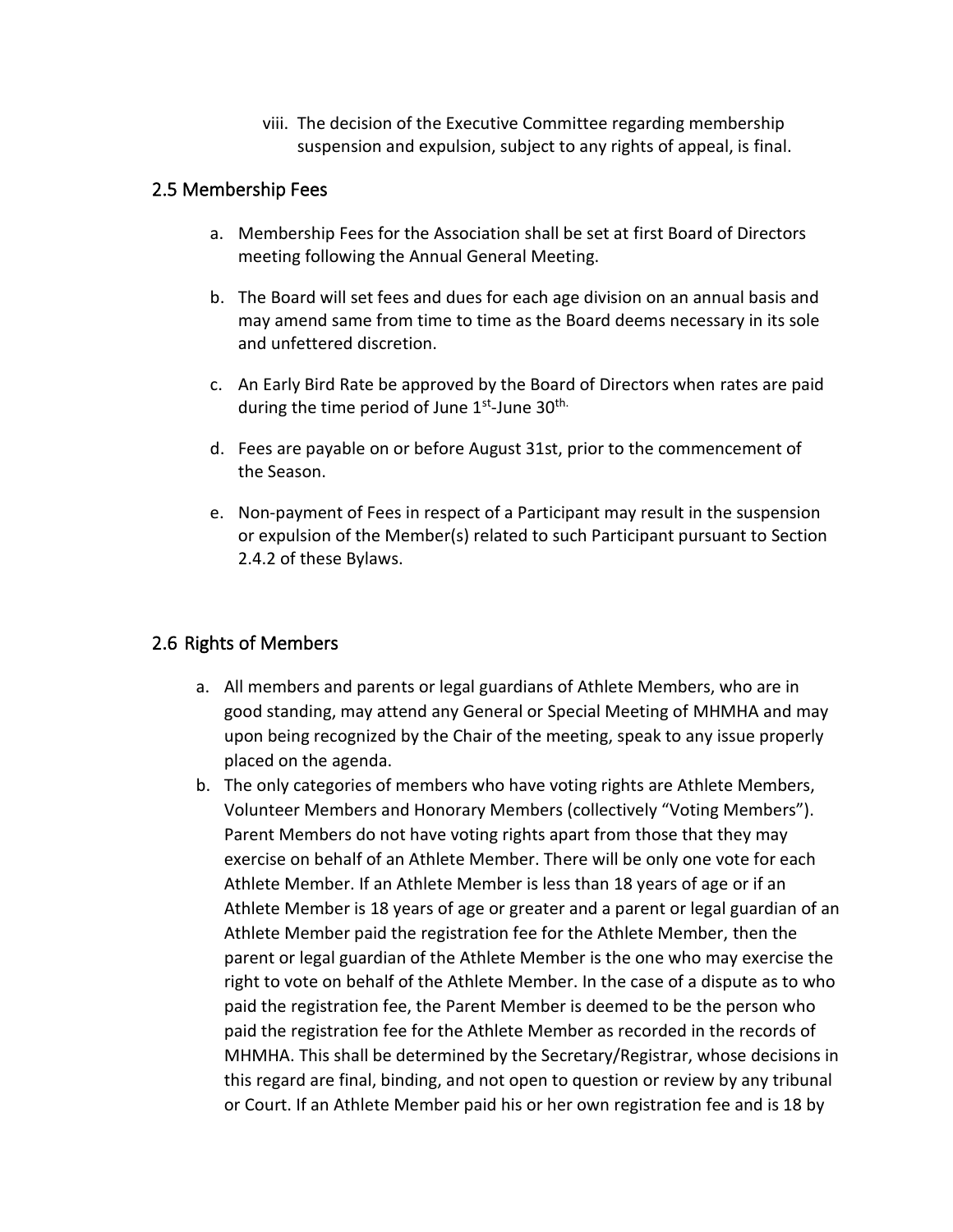viii. The decision of the Executive Committee regarding membership suspension and expulsion, subject to any rights of appeal, is final.

#### <span id="page-9-0"></span>2.5 Membership Fees

- a. Membership Fees for the Association shall be set at first Board of Directors meeting following the Annual General Meeting.
- b. The Board will set fees and dues for each age division on an annual basis and may amend same from time to time as the Board deems necessary in its sole and unfettered discretion.
- c. An Early Bird Rate be approved by the Board of Directors when rates are paid during the time period of June 1st-June 30<sup>th.</sup>
- d. Fees are payable on or before August 31st, prior to the commencement of the Season.
- e. Non-payment of Fees in respect of a Participant may result in the suspension or expulsion of the Member(s) related to such Participant pursuant to Section 2.4.2 of these Bylaws.

#### <span id="page-9-1"></span>2.6 Rights of Members

- a. All members and parents or legal guardians of Athlete Members, who are in good standing, may attend any General or Special Meeting of MHMHA and may upon being recognized by the Chair of the meeting, speak to any issue properly placed on the agenda.
- b. The only categories of members who have voting rights are Athlete Members, Volunteer Members and Honorary Members (collectively "Voting Members"). Parent Members do not have voting rights apart from those that they may exercise on behalf of an Athlete Member. There will be only one vote for each Athlete Member. If an Athlete Member is less than 18 years of age or if an Athlete Member is 18 years of age or greater and a parent or legal guardian of an Athlete Member paid the registration fee for the Athlete Member, then the parent or legal guardian of the Athlete Member is the one who may exercise the right to vote on behalf of the Athlete Member. In the case of a dispute as to who paid the registration fee, the Parent Member is deemed to be the person who paid the registration fee for the Athlete Member as recorded in the records of MHMHA. This shall be determined by the Secretary/Registrar, whose decisions in this regard are final, binding, and not open to question or review by any tribunal or Court. If an Athlete Member paid his or her own registration fee and is 18 by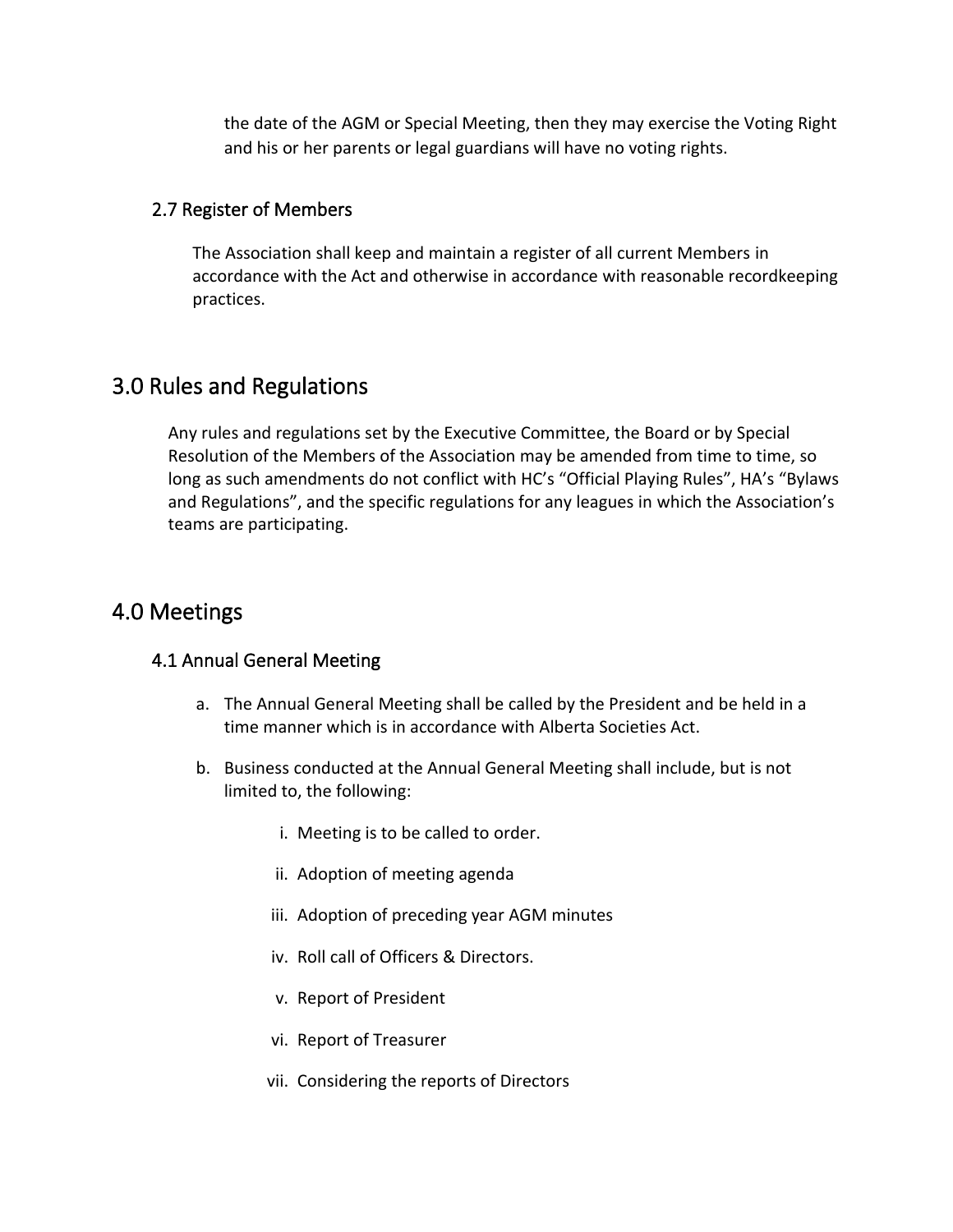the date of the AGM or Special Meeting, then they may exercise the Voting Right and his or her parents or legal guardians will have no voting rights.

#### <span id="page-10-0"></span>2.7 Register of Members

The Association shall keep and maintain a register of all current Members in accordance with the Act and otherwise in accordance with reasonable recordkeeping practices.

## <span id="page-10-1"></span>3.0 Rules and Regulations

Any rules and regulations set by the Executive Committee, the Board or by Special Resolution of the Members of the Association may be amended from time to time, so long as such amendments do not conflict with HC's "Official Playing Rules", HA's "Bylaws and Regulations", and the specific regulations for any leagues in which the Association's teams are participating.

### <span id="page-10-2"></span>4.0 Meetings

#### <span id="page-10-3"></span>4.1 Annual General Meeting

- a. The Annual General Meeting shall be called by the President and be held in a time manner which is in accordance with Alberta Societies Act.
- b. Business conducted at the Annual General Meeting shall include, but is not limited to, the following:
	- i. Meeting is to be called to order.
	- ii. Adoption of meeting agenda
	- iii. Adoption of preceding year AGM minutes
	- iv. Roll call of Officers & Directors.
	- v. Report of President
	- vi. Report of Treasurer
	- vii. Considering the reports of Directors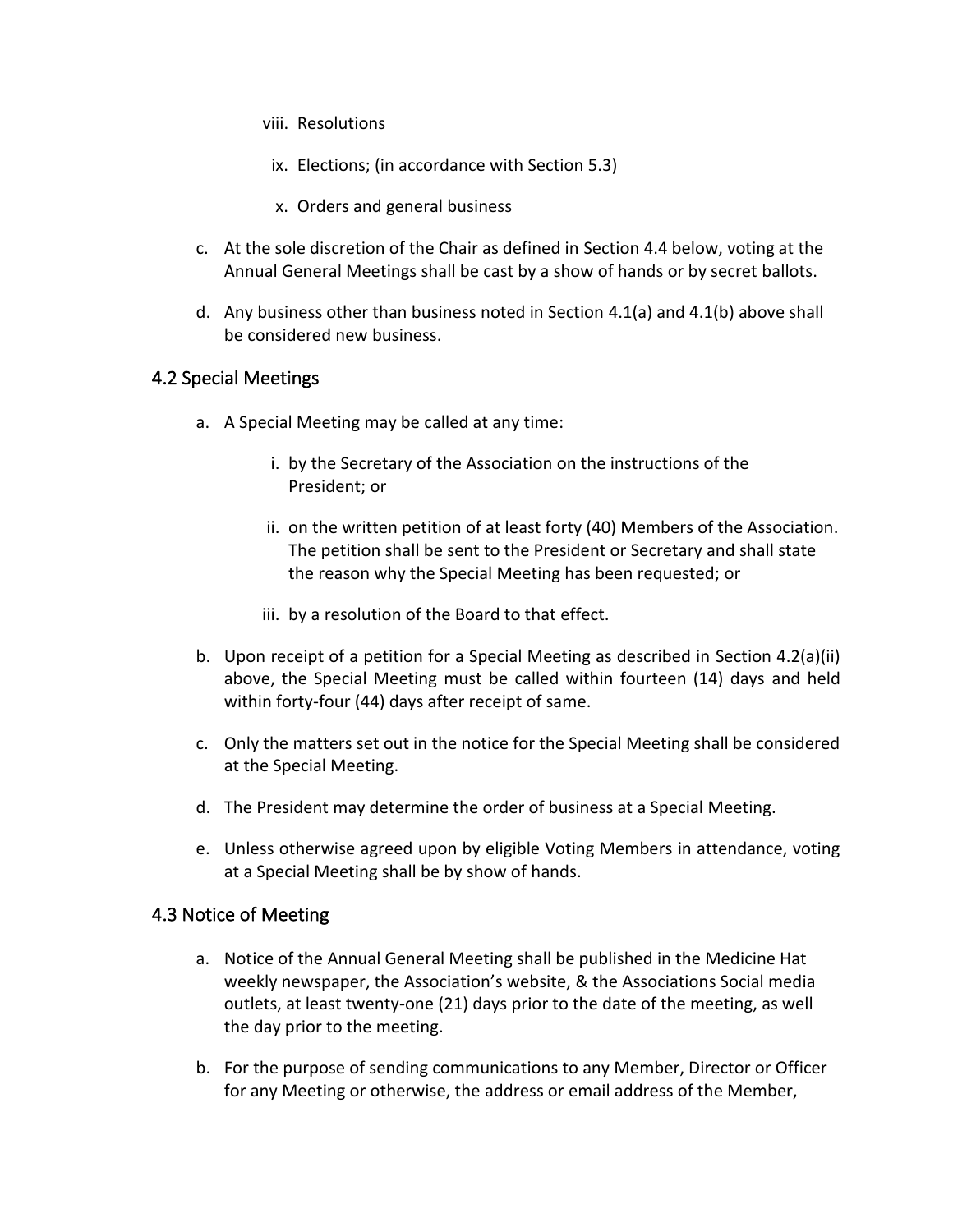- viii. Resolutions
- ix. Elections; (in accordance with Section 5.3)
- x. Orders and general business
- c. At the sole discretion of the Chair as defined in Section 4.4 below, voting at the Annual General Meetings shall be cast by a show of hands or by secret ballots.
- d. Any business other than business noted in Section 4.1(a) and 4.1(b) above shall be considered new business.

#### <span id="page-11-0"></span>4.2 Special Meetings

- a. A Special Meeting may be called at any time:
	- i. by the Secretary of the Association on the instructions of the President; or
	- ii. on the written petition of at least forty (40) Members of the Association. The petition shall be sent to the President or Secretary and shall state the reason why the Special Meeting has been requested; or
	- iii. by a resolution of the Board to that effect.
- b. Upon receipt of a petition for a Special Meeting as described in Section 4.2(a)(ii) above, the Special Meeting must be called within fourteen (14) days and held within forty-four (44) days after receipt of same.
- c. Only the matters set out in the notice for the Special Meeting shall be considered at the Special Meeting.
- d. The President may determine the order of business at a Special Meeting.
- e. Unless otherwise agreed upon by eligible Voting Members in attendance, voting at a Special Meeting shall be by show of hands.

#### <span id="page-11-1"></span>4.3 Notice of Meeting

- a. Notice of the Annual General Meeting shall be published in the Medicine Hat weekly newspaper, the Association's website, & the Associations Social media outlets, at least twenty-one (21) days prior to the date of the meeting, as well the day prior to the meeting.
- b. For the purpose of sending communications to any Member, Director or Officer for any Meeting or otherwise, the address or email address of the Member,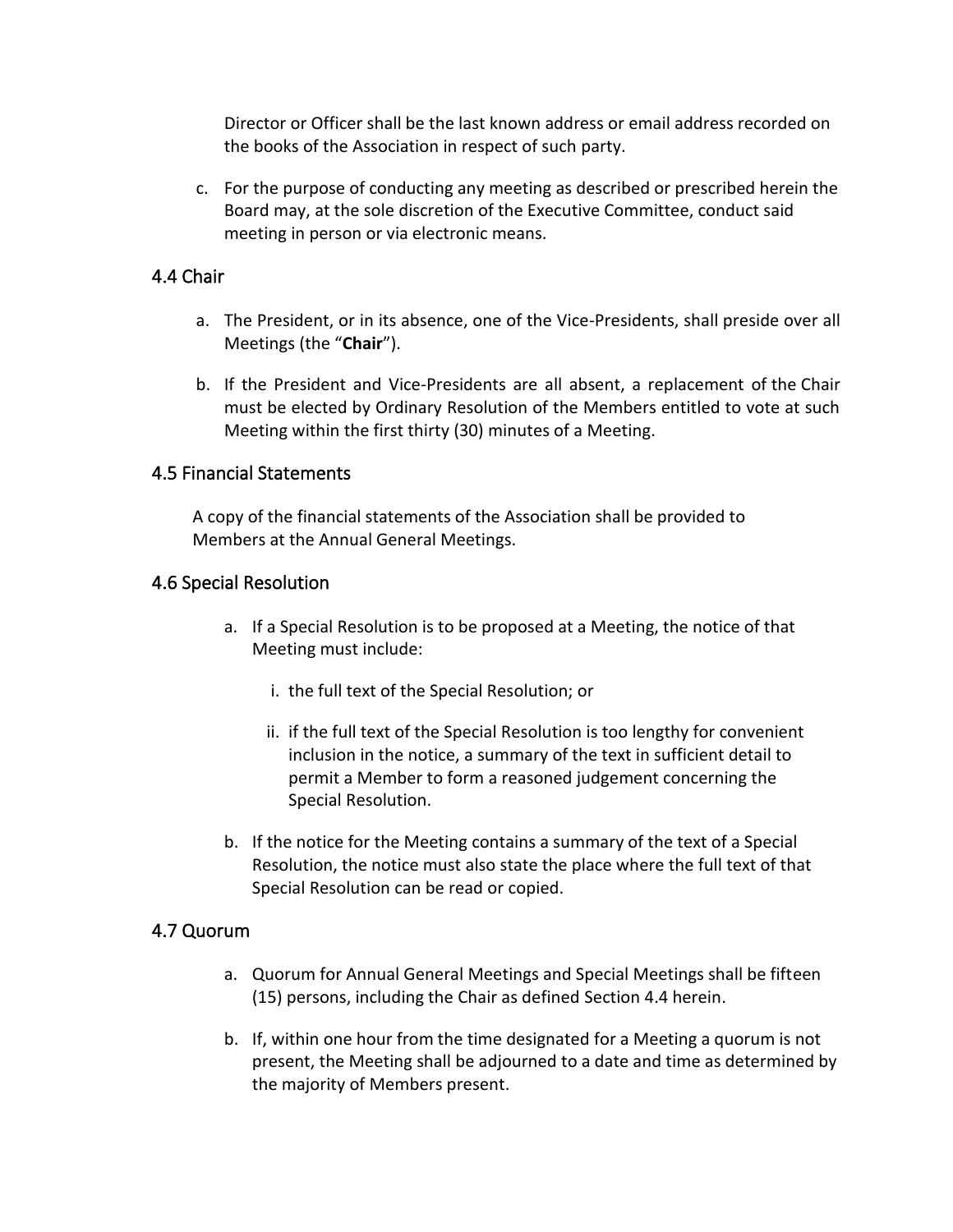Director or Officer shall be the last known address or email address recorded on the books of the Association in respect of such party.

c. For the purpose of conducting any meeting as described or prescribed herein the Board may, at the sole discretion of the Executive Committee, conduct said meeting in person or via electronic means.

#### <span id="page-12-0"></span>4.4 Chair

- a. The President, or in its absence, one of the Vice-Presidents, shall preside over all Meetings (the "**Chair**").
- b. If the President and Vice-Presidents are all absent, a replacement of the Chair must be elected by Ordinary Resolution of the Members entitled to vote at such Meeting within the first thirty (30) minutes of a Meeting.

#### <span id="page-12-1"></span>4.5 Financial Statements

A copy of the financial statements of the Association shall be provided to Members at the Annual General Meetings.

#### <span id="page-12-2"></span>4.6 Special Resolution

- a. If a Special Resolution is to be proposed at a Meeting, the notice of that Meeting must include:
	- i. the full text of the Special Resolution; or
	- ii. if the full text of the Special Resolution is too lengthy for convenient inclusion in the notice, a summary of the text in sufficient detail to permit a Member to form a reasoned judgement concerning the Special Resolution.
- b. If the notice for the Meeting contains a summary of the text of a Special Resolution, the notice must also state the place where the full text of that Special Resolution can be read or copied.

#### <span id="page-12-3"></span>4.7 Quorum

- a. Quorum for Annual General Meetings and Special Meetings shall be fifteen (15) persons, including the Chair as defined Section 4.4 herein.
- b. If, within one hour from the time designated for a Meeting a quorum is not present, the Meeting shall be adjourned to a date and time as determined by the majority of Members present.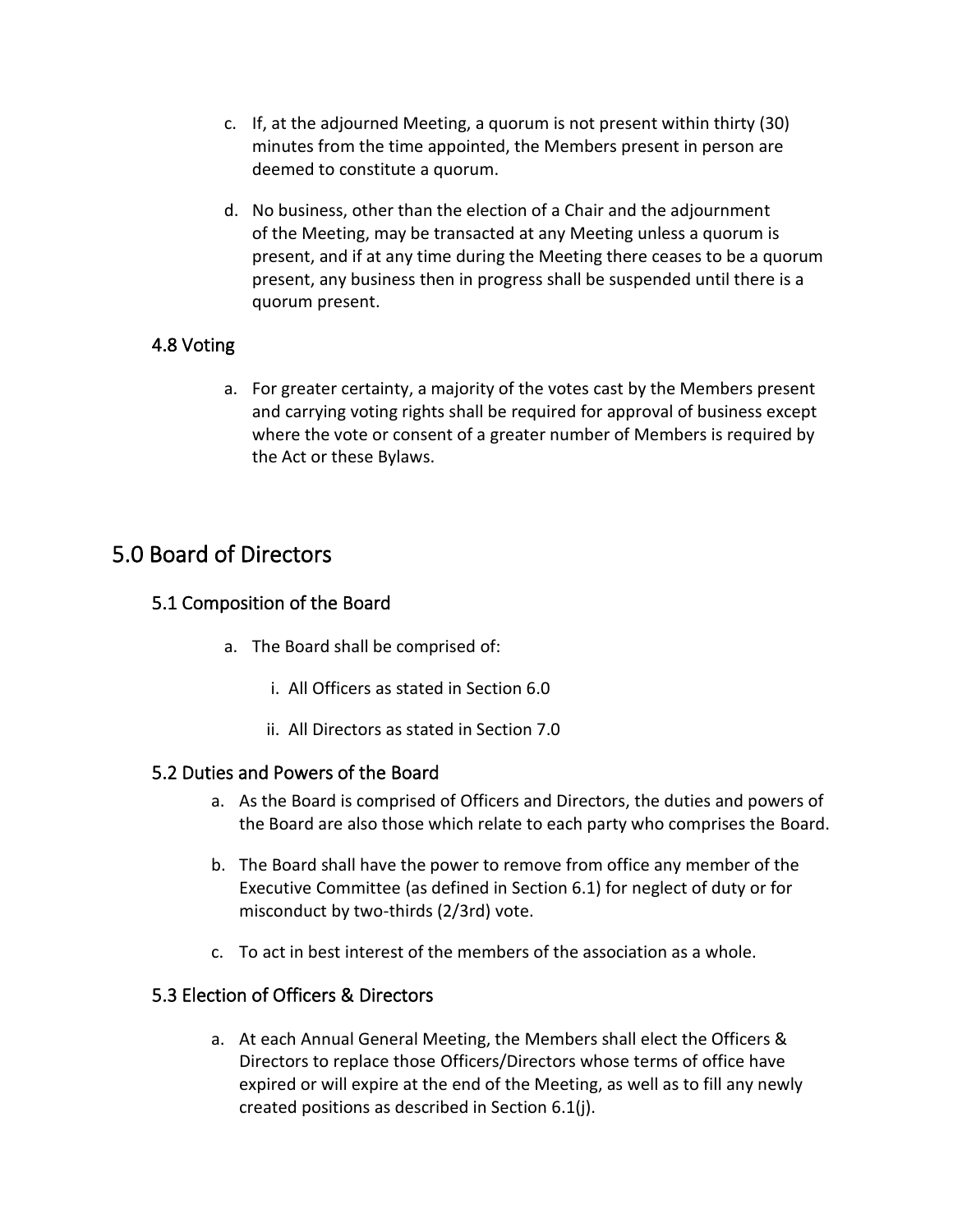- c. If, at the adjourned Meeting, a quorum is not present within thirty (30) minutes from the time appointed, the Members present in person are deemed to constitute a quorum.
- d. No business, other than the election of a Chair and the adjournment of the Meeting, may be transacted at any Meeting unless a quorum is present, and if at any time during the Meeting there ceases to be a quorum present, any business then in progress shall be suspended until there is a quorum present.

#### <span id="page-13-0"></span>4.8 Voting

a. For greater certainty, a majority of the votes cast by the Members present and carrying voting rights shall be required for approval of business except where the vote or consent of a greater number of Members is required by the Act or these Bylaws.

## <span id="page-13-1"></span>5.0 Board of Directors

#### <span id="page-13-2"></span>5.1 Composition of the Board

- a. The Board shall be comprised of:
	- i. All Officers as stated in Section 6.0
	- ii. All Directors as stated in Section 7.0

#### <span id="page-13-3"></span>5.2 Duties and Powers of the Board

- a. As the Board is comprised of Officers and Directors, the duties and powers of the Board are also those which relate to each party who comprises the Board.
- b. The Board shall have the power to remove from office any member of the Executive Committee (as defined in Section 6.1) for neglect of duty or for misconduct by two-thirds (2/3rd) vote.
- c. To act in best interest of the members of the association as a whole.

#### <span id="page-13-4"></span>5.3 Election of Officers & Directors

a. At each Annual General Meeting, the Members shall elect the Officers & Directors to replace those Officers/Directors whose terms of office have expired or will expire at the end of the Meeting, as well as to fill any newly created positions as described in Section 6.1(j).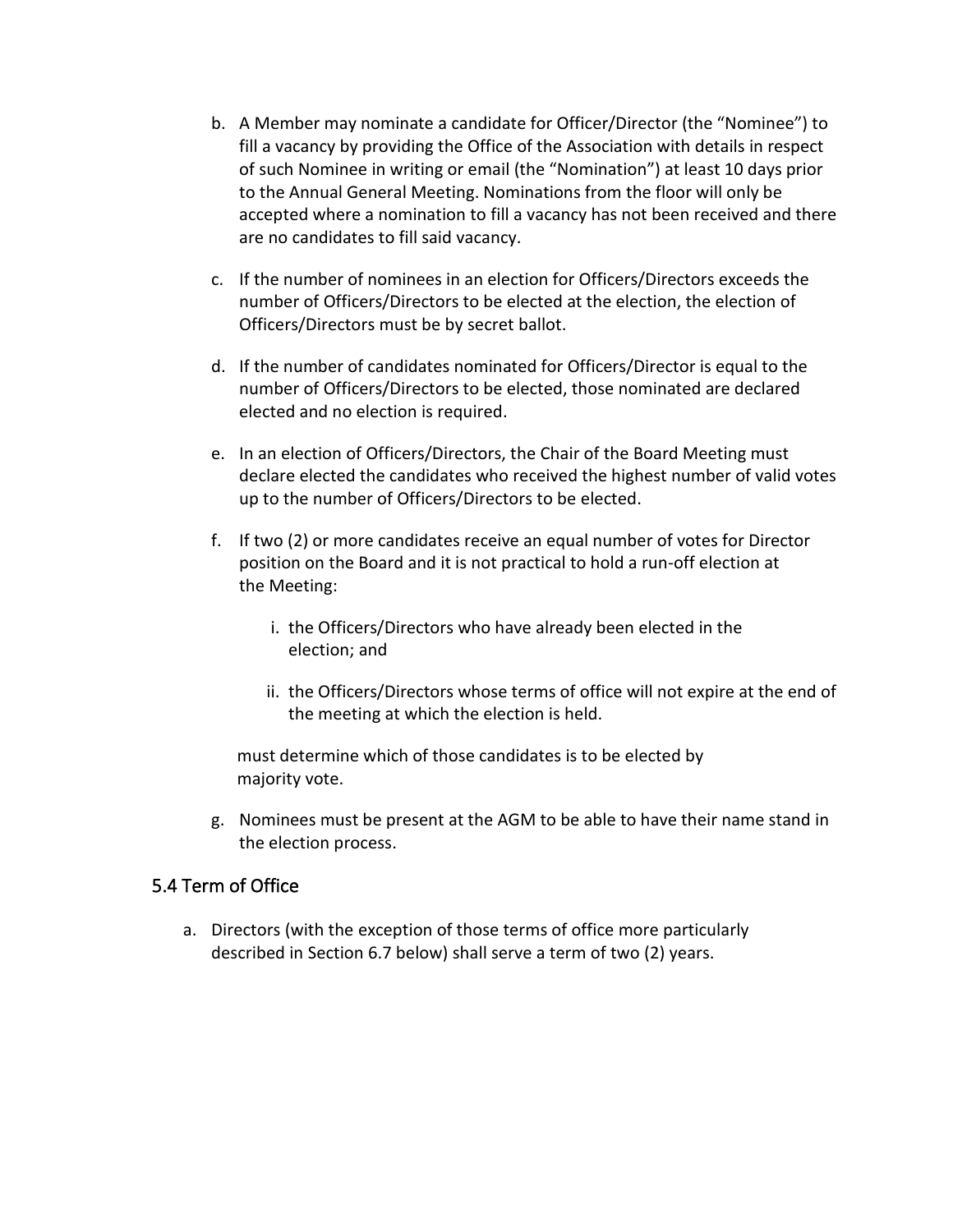- b. A Member may nominate a candidate for Officer/Director (the "Nominee") to fill a vacancy by providing the Office of the Association with details in respect of such Nominee in writing or email (the "Nomination") at least 10 days prior to the Annual General Meeting. Nominations from the floor will only be accepted where a nomination to fill a vacancy has not been received and there are no candidates to fill said vacancy.
- c. If the number of nominees in an election for Officers/Directors exceeds the number of Officers/Directors to be elected at the election, the election of Officers/Directors must be by secret ballot.
- d. If the number of candidates nominated for Officers/Director is equal to the number of Officers/Directors to be elected, those nominated are declared elected and no election is required.
- e. In an election of Officers/Directors, the Chair of the Board Meeting must declare elected the candidates who received the highest number of valid votes up to the number of Officers/Directors to be elected.
- f. If two (2) or more candidates receive an equal number of votes for Director position on the Board and it is not practical to hold a run-off election at the Meeting:
	- i. the Officers/Directors who have already been elected in the election; and
	- ii. the Officers/Directors whose terms of office will not expire at the end of the meeting at which the election is held.

must determine which of those candidates is to be elected by majority vote.

g. Nominees must be present at the AGM to be able to have their name stand in the election process.

#### <span id="page-14-0"></span>5.4 Term of Office

a. Directors (with the exception of those terms of office more particularly described in Section 6.7 below) shall serve a term of two (2) years.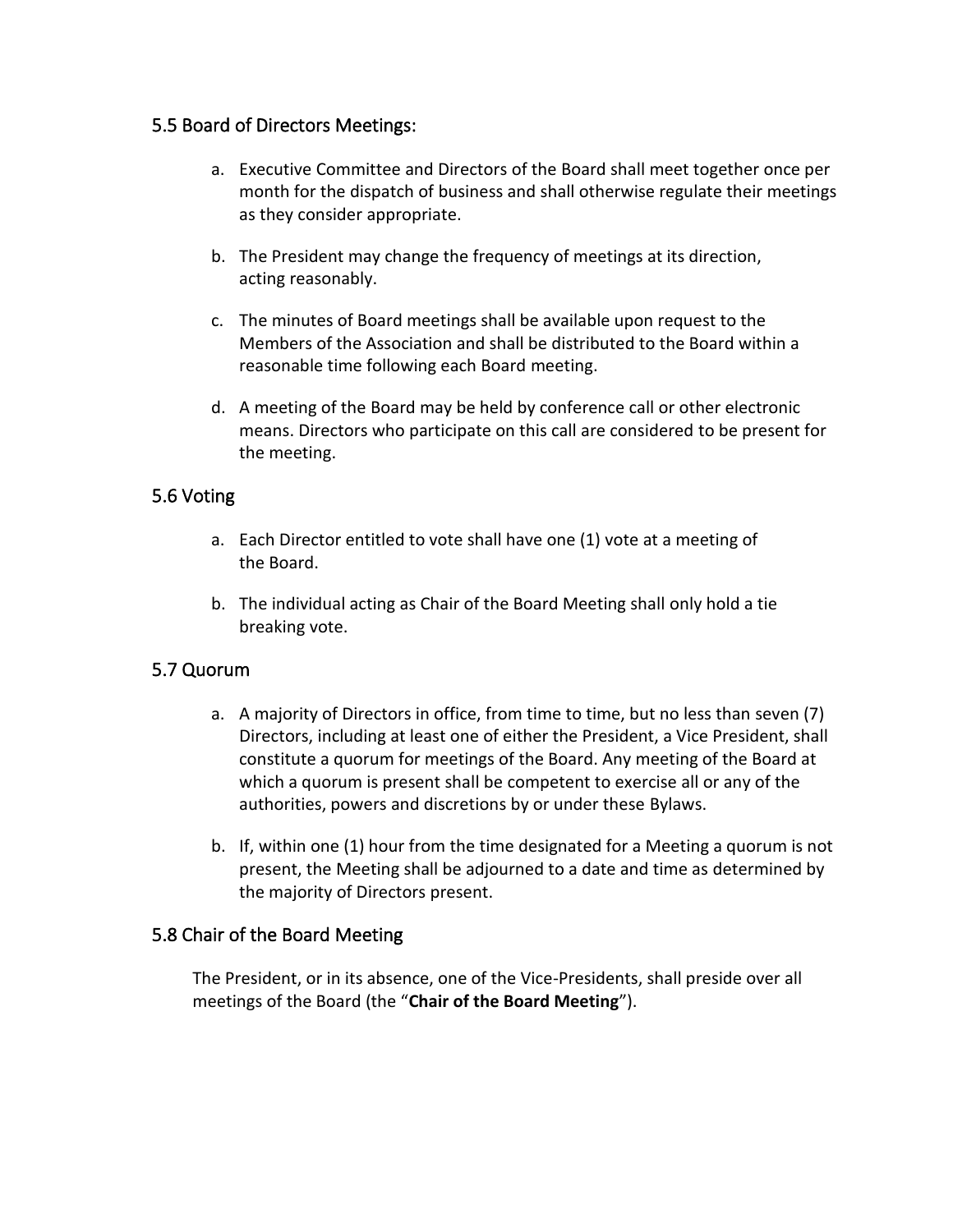#### <span id="page-15-0"></span>5.5 Board of Directors Meetings:

- a. Executive Committee and Directors of the Board shall meet together once per month for the dispatch of business and shall otherwise regulate their meetings as they consider appropriate.
- b. The President may change the frequency of meetings at its direction, acting reasonably.
- c. The minutes of Board meetings shall be available upon request to the Members of the Association and shall be distributed to the Board within a reasonable time following each Board meeting.
- d. A meeting of the Board may be held by conference call or other electronic means. Directors who participate on this call are considered to be present for the meeting.

#### <span id="page-15-1"></span>5.6 Voting

- a. Each Director entitled to vote shall have one (1) vote at a meeting of the Board.
- b. The individual acting as Chair of the Board Meeting shall only hold a tie breaking vote.

#### <span id="page-15-2"></span>5.7 Quorum

- a. A majority of Directors in office, from time to time, but no less than seven (7) Directors, including at least one of either the President, a Vice President, shall constitute a quorum for meetings of the Board. Any meeting of the Board at which a quorum is present shall be competent to exercise all or any of the authorities, powers and discretions by or under these Bylaws.
- b. If, within one (1) hour from the time designated for a Meeting a quorum is not present, the Meeting shall be adjourned to a date and time as determined by the majority of Directors present.

#### <span id="page-15-3"></span>5.8 Chair of the Board Meeting

The President, or in its absence, one of the Vice-Presidents, shall preside over all meetings of the Board (the "**Chair of the Board Meeting**").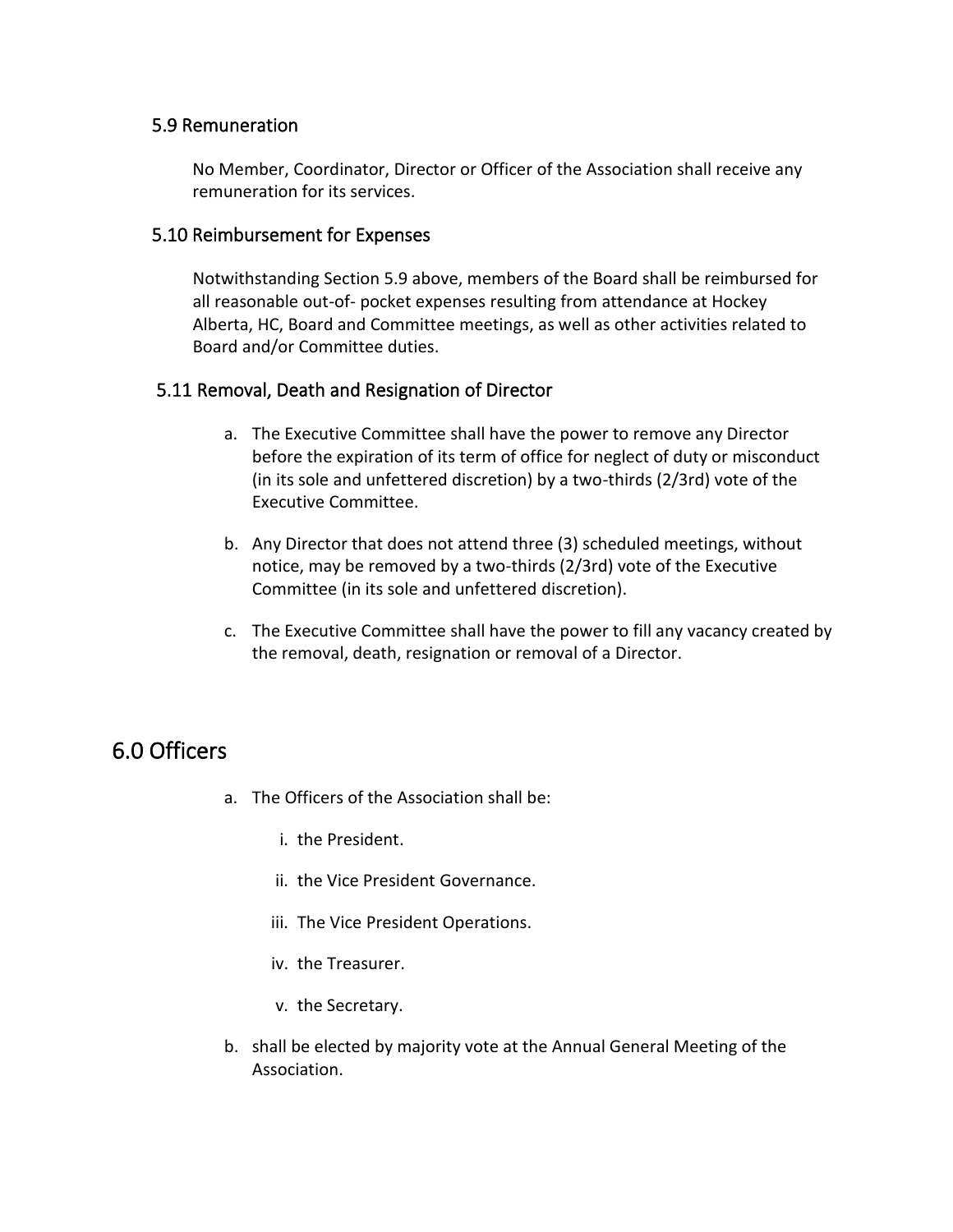#### <span id="page-16-0"></span>5.9 Remuneration

No Member, Coordinator, Director or Officer of the Association shall receive any remuneration for its services.

#### <span id="page-16-1"></span>5.10 Reimbursement for Expenses

Notwithstanding Section 5.9 above, members of the Board shall be reimbursed for all reasonable out-of- pocket expenses resulting from attendance at Hockey Alberta, HC, Board and Committee meetings, as well as other activities related to Board and/or Committee duties.

#### <span id="page-16-2"></span>5.11 Removal, Death and Resignation of Director

- a. The Executive Committee shall have the power to remove any Director before the expiration of its term of office for neglect of duty or misconduct (in its sole and unfettered discretion) by a two-thirds (2/3rd) vote of the Executive Committee.
- b. Any Director that does not attend three (3) scheduled meetings, without notice, may be removed by a two-thirds (2/3rd) vote of the Executive Committee (in its sole and unfettered discretion).
- c. The Executive Committee shall have the power to fill any vacancy created by the removal, death, resignation or removal of a Director.

## <span id="page-16-3"></span>6.0 Officers

- a. The Officers of the Association shall be:
	- i. the President.
	- ii. the Vice President Governance.
	- iii. The Vice President Operations.
	- iv. the Treasurer.
	- v. the Secretary.
- b. shall be elected by majority vote at the Annual General Meeting of the Association.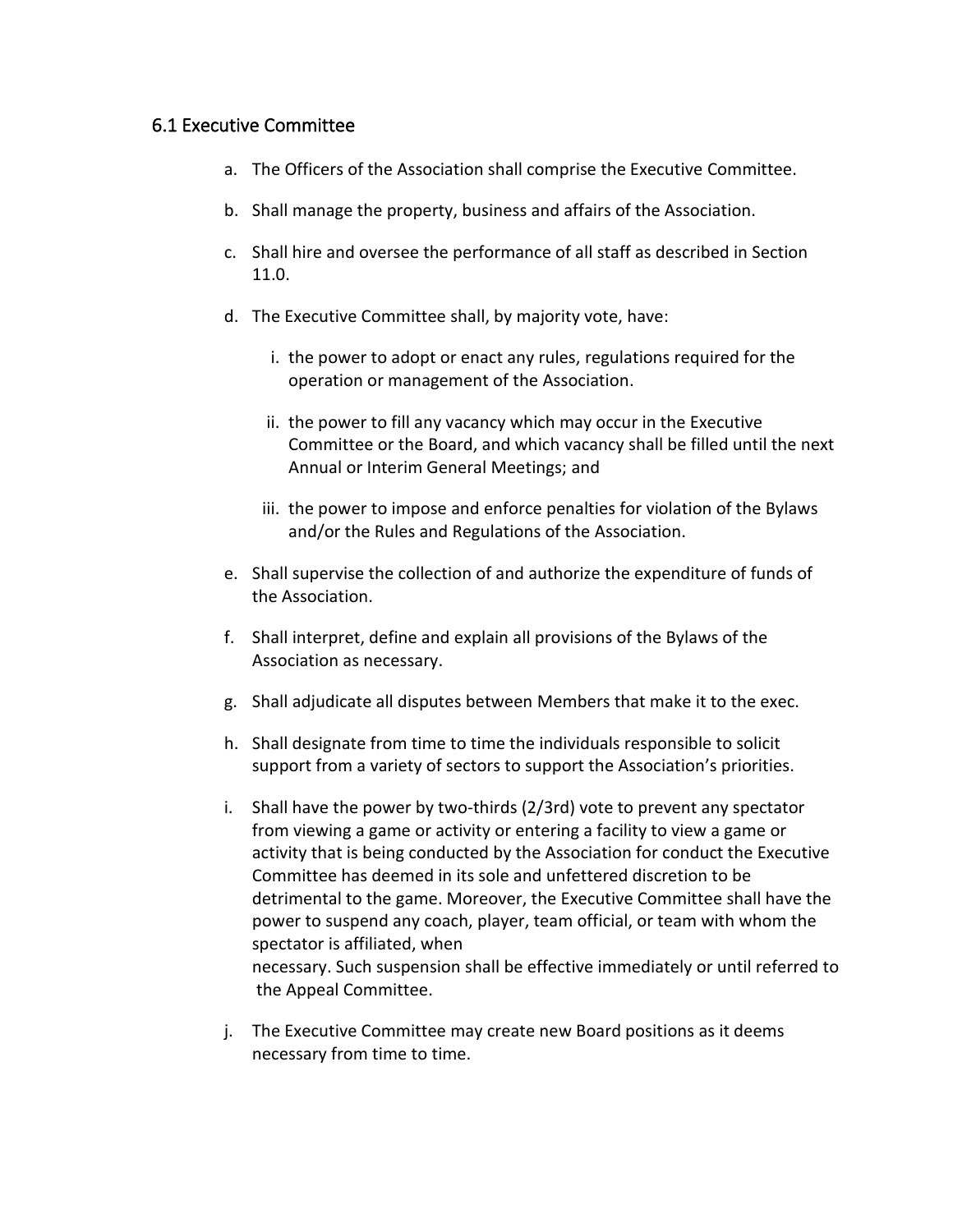#### <span id="page-17-0"></span>6.1 Executive Committee

- a. The Officers of the Association shall comprise the Executive Committee.
- b. Shall manage the property, business and affairs of the Association.
- c. Shall hire and oversee the performance of all staff as described in Section 11.0.
- d. The Executive Committee shall, by majority vote, have:
	- i. the power to adopt or enact any rules, regulations required for the operation or management of the Association.
	- ii. the power to fill any vacancy which may occur in the Executive Committee or the Board, and which vacancy shall be filled until the next Annual or Interim General Meetings; and
	- iii. the power to impose and enforce penalties for violation of the Bylaws and/or the Rules and Regulations of the Association.
- e. Shall supervise the collection of and authorize the expenditure of funds of the Association.
- f. Shall interpret, define and explain all provisions of the Bylaws of the Association as necessary.
- g. Shall adjudicate all disputes between Members that make it to the exec.
- h. Shall designate from time to time the individuals responsible to solicit support from a variety of sectors to support the Association's priorities.
- i. Shall have the power by two-thirds (2/3rd) vote to prevent any spectator from viewing a game or activity or entering a facility to view a game or activity that is being conducted by the Association for conduct the Executive Committee has deemed in its sole and unfettered discretion to be detrimental to the game. Moreover, the Executive Committee shall have the power to suspend any coach, player, team official, or team with whom the spectator is affiliated, when necessary. Such suspension shall be effective immediately or until referred to the Appeal Committee.
- j. The Executive Committee may create new Board positions as it deems necessary from time to time.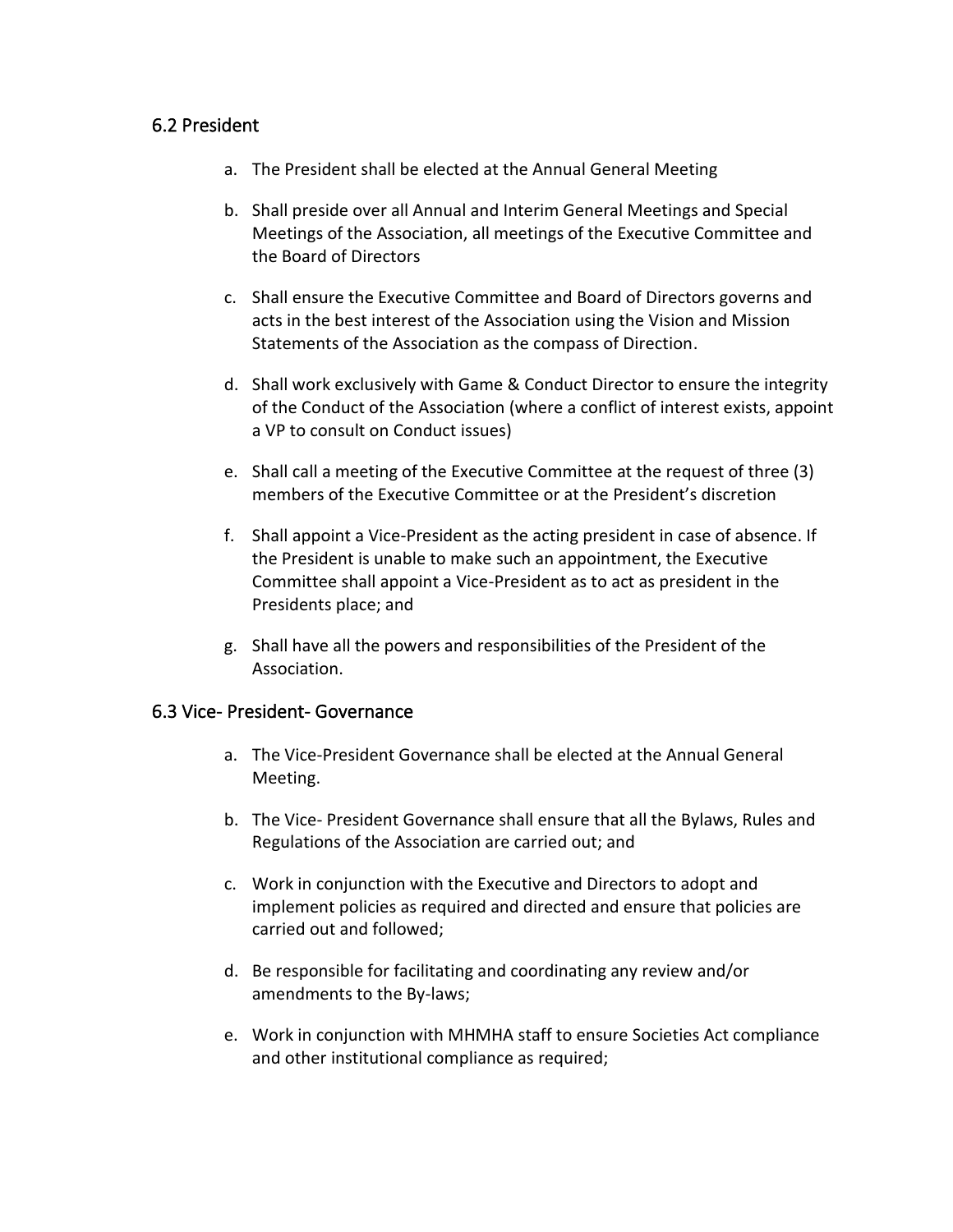#### <span id="page-18-0"></span>6.2 President

- a. The President shall be elected at the Annual General Meeting
- b. Shall preside over all Annual and Interim General Meetings and Special Meetings of the Association, all meetings of the Executive Committee and the Board of Directors
- c. Shall ensure the Executive Committee and Board of Directors governs and acts in the best interest of the Association using the Vision and Mission Statements of the Association as the compass of Direction.
- d. Shall work exclusively with Game & Conduct Director to ensure the integrity of the Conduct of the Association (where a conflict of interest exists, appoint a VP to consult on Conduct issues)
- e. Shall call a meeting of the Executive Committee at the request of three (3) members of the Executive Committee or at the President's discretion
- f. Shall appoint a Vice-President as the acting president in case of absence. If the President is unable to make such an appointment, the Executive Committee shall appoint a Vice-President as to act as president in the Presidents place; and
- g. Shall have all the powers and responsibilities of the President of the Association.

#### <span id="page-18-1"></span>6.3 Vice- President- Governance

- a. The Vice-President Governance shall be elected at the Annual General Meeting.
- b. The Vice- President Governance shall ensure that all the Bylaws, Rules and Regulations of the Association are carried out; and
- c. Work in conjunction with the Executive and Directors to adopt and implement policies as required and directed and ensure that policies are carried out and followed;
- d. Be responsible for facilitating and coordinating any review and/or amendments to the By-laws;
- e. Work in conjunction with MHMHA staff to ensure Societies Act compliance and other institutional compliance as required;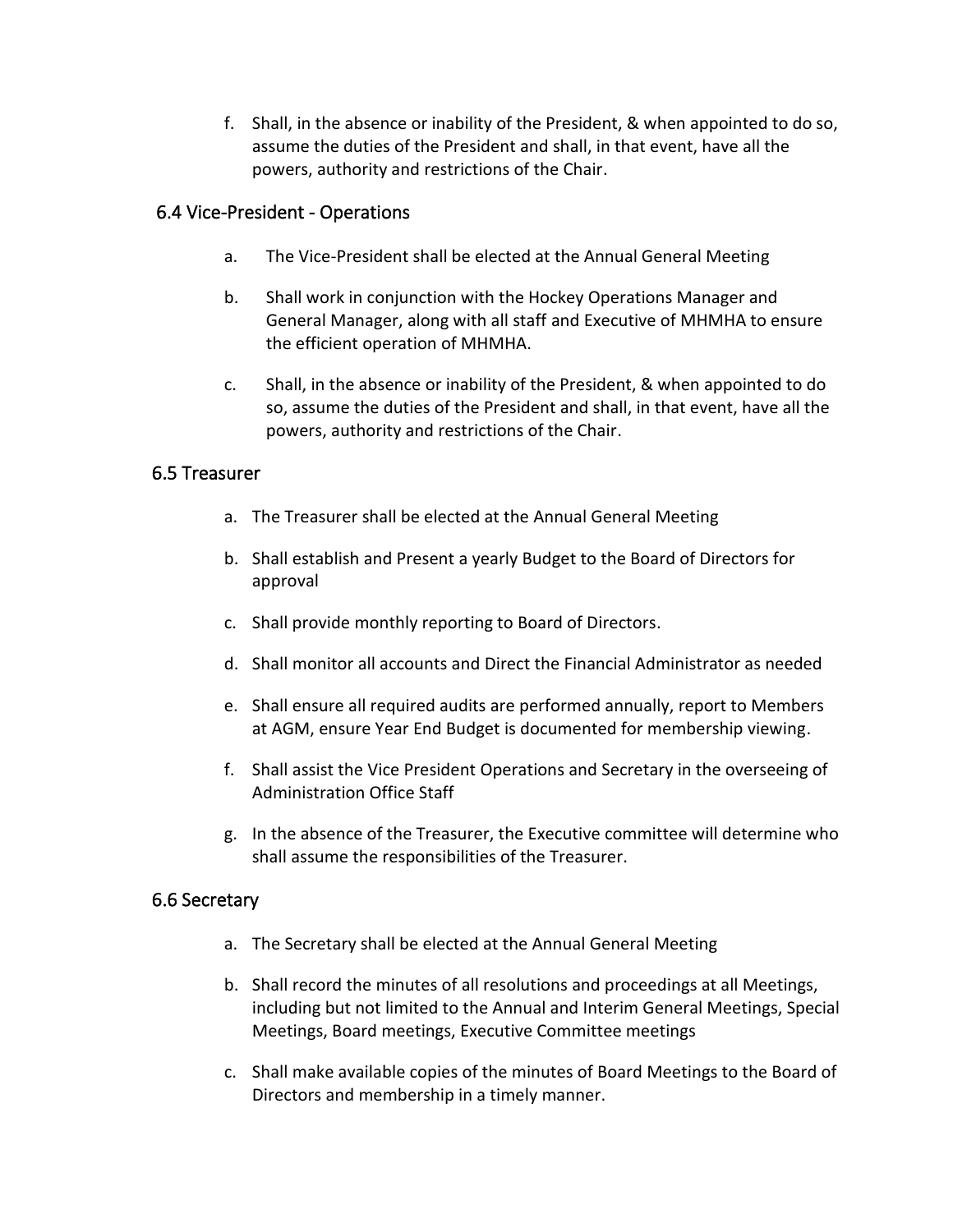f. Shall, in the absence or inability of the President, & when appointed to do so, assume the duties of the President and shall, in that event, have all the powers, authority and restrictions of the Chair.

#### <span id="page-19-0"></span>6.4 Vice-President - Operations

- a. The Vice-President shall be elected at the Annual General Meeting
- b. Shall work in conjunction with the Hockey Operations Manager and General Manager, along with all staff and Executive of MHMHA to ensure the efficient operation of MHMHA.
- c. Shall, in the absence or inability of the President, & when appointed to do so, assume the duties of the President and shall, in that event, have all the powers, authority and restrictions of the Chair.

#### <span id="page-19-1"></span>6.5 Treasurer

- a. The Treasurer shall be elected at the Annual General Meeting
- b. Shall establish and Present a yearly Budget to the Board of Directors for approval
- c. Shall provide monthly reporting to Board of Directors.
- d. Shall monitor all accounts and Direct the Financial Administrator as needed
- e. Shall ensure all required audits are performed annually, report to Members at AGM, ensure Year End Budget is documented for membership viewing.
- f. Shall assist the Vice President Operations and Secretary in the overseeing of Administration Office Staff
- g. In the absence of the Treasurer, the Executive committee will determine who shall assume the responsibilities of the Treasurer.

#### <span id="page-19-2"></span>6.6 Secretary

- a. The Secretary shall be elected at the Annual General Meeting
- b. Shall record the minutes of all resolutions and proceedings at all Meetings, including but not limited to the Annual and Interim General Meetings, Special Meetings, Board meetings, Executive Committee meetings
- c. Shall make available copies of the minutes of Board Meetings to the Board of Directors and membership in a timely manner.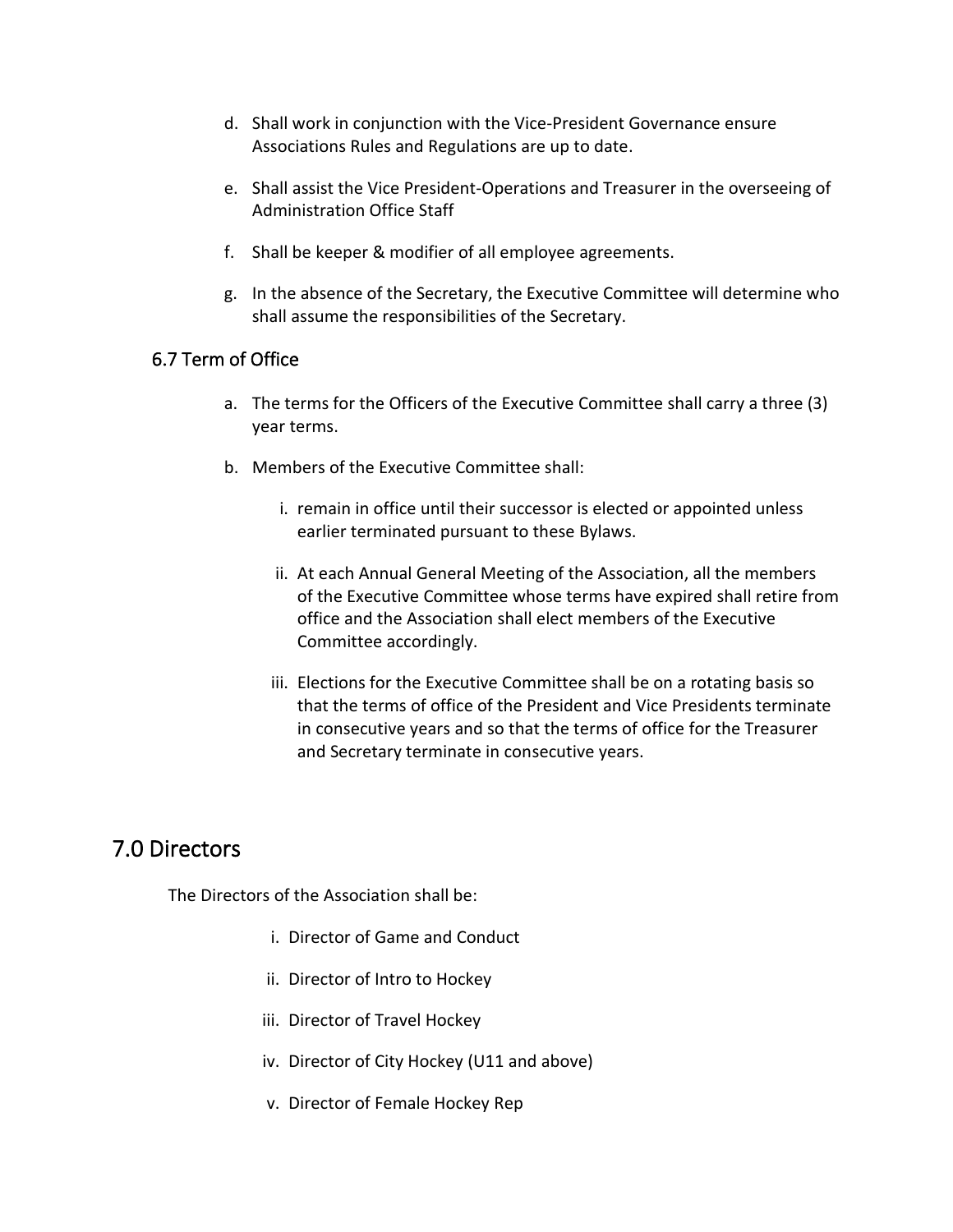- d. Shall work in conjunction with the Vice-President Governance ensure Associations Rules and Regulations are up to date.
- e. Shall assist the Vice President-Operations and Treasurer in the overseeing of Administration Office Staff
- f. Shall be keeper & modifier of all employee agreements.
- g. In the absence of the Secretary, the Executive Committee will determine who shall assume the responsibilities of the Secretary.

#### <span id="page-20-0"></span>6.7 Term of Office

- a. The terms for the Officers of the Executive Committee shall carry a three (3) year terms.
- b. Members of the Executive Committee shall:
	- i. remain in office until their successor is elected or appointed unless earlier terminated pursuant to these Bylaws.
	- ii. At each Annual General Meeting of the Association, all the members of the Executive Committee whose terms have expired shall retire from office and the Association shall elect members of the Executive Committee accordingly.
	- iii. Elections for the Executive Committee shall be on a rotating basis so that the terms of office of the President and Vice Presidents terminate in consecutive years and so that the terms of office for the Treasurer and Secretary terminate in consecutive years.

## <span id="page-20-1"></span>7.0 Directors

The Directors of the Association shall be:

- i. Director of Game and Conduct
- ii. Director of Intro to Hockey
- iii. Director of Travel Hockey
- iv. Director of City Hockey (U11 and above)
- v. Director of Female Hockey Rep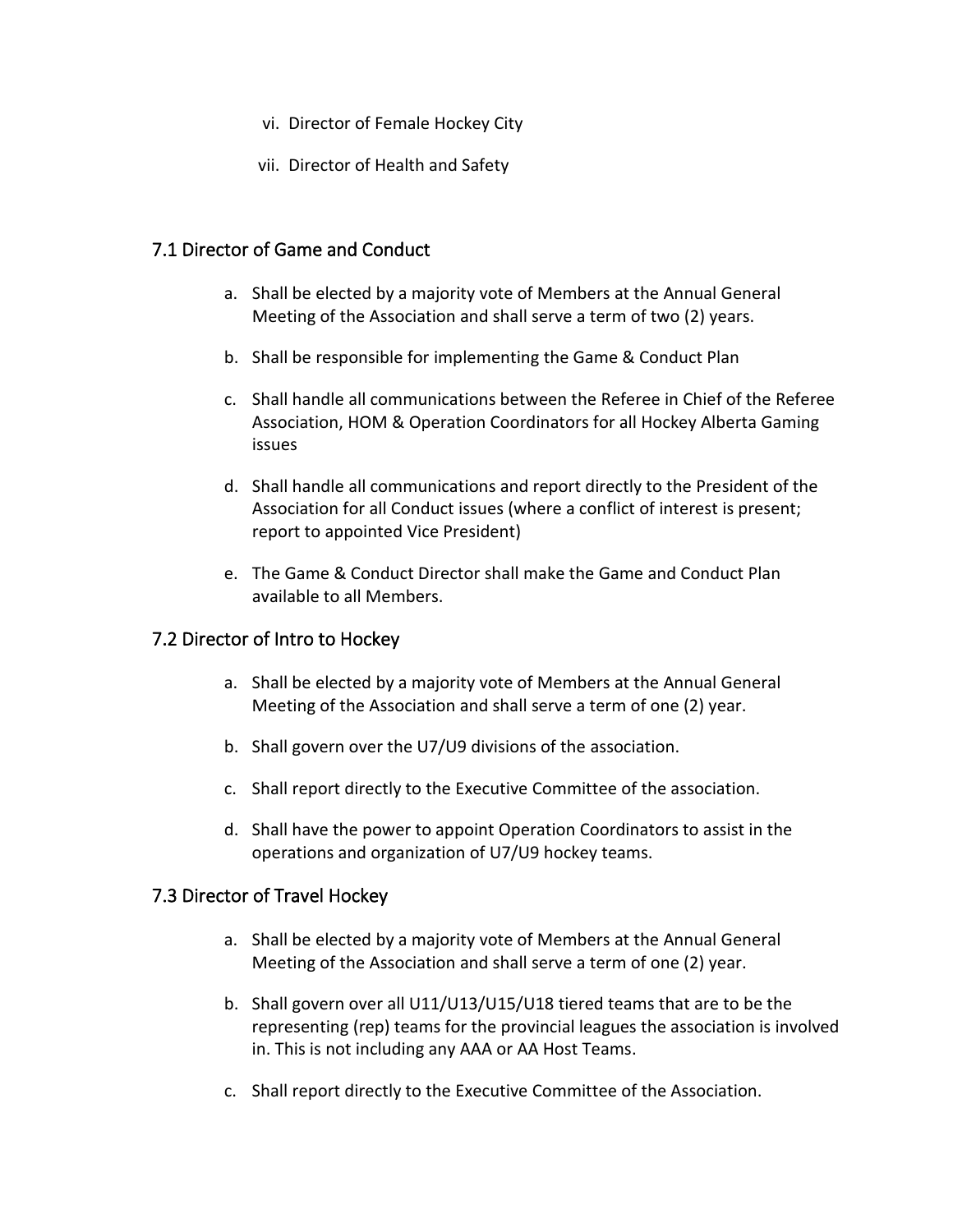- vi. Director of Female Hockey City
- vii. Director of Health and Safety

#### <span id="page-21-0"></span>7.1 Director of Game and Conduct

- a. Shall be elected by a majority vote of Members at the Annual General Meeting of the Association and shall serve a term of two (2) years.
- b. Shall be responsible for implementing the Game & Conduct Plan
- c. Shall handle all communications between the Referee in Chief of the Referee Association, HOM & Operation Coordinators for all Hockey Alberta Gaming issues
- d. Shall handle all communications and report directly to the President of the Association for all Conduct issues (where a conflict of interest is present; report to appointed Vice President)
- e. The Game & Conduct Director shall make the Game and Conduct Plan available to all Members.

#### <span id="page-21-1"></span>7.2 Director of Intro to Hockey

- a. Shall be elected by a majority vote of Members at the Annual General Meeting of the Association and shall serve a term of one (2) year.
- b. Shall govern over the U7/U9 divisions of the association.
- c. Shall report directly to the Executive Committee of the association.
- d. Shall have the power to appoint Operation Coordinators to assist in the operations and organization of U7/U9 hockey teams.

#### <span id="page-21-2"></span>7.3 Director of Travel Hockey

- a. Shall be elected by a majority vote of Members at the Annual General Meeting of the Association and shall serve a term of one (2) year.
- b. Shall govern over all U11/U13/U15/U18 tiered teams that are to be the representing (rep) teams for the provincial leagues the association is involved in. This is not including any AAA or AA Host Teams.
- c. Shall report directly to the Executive Committee of the Association.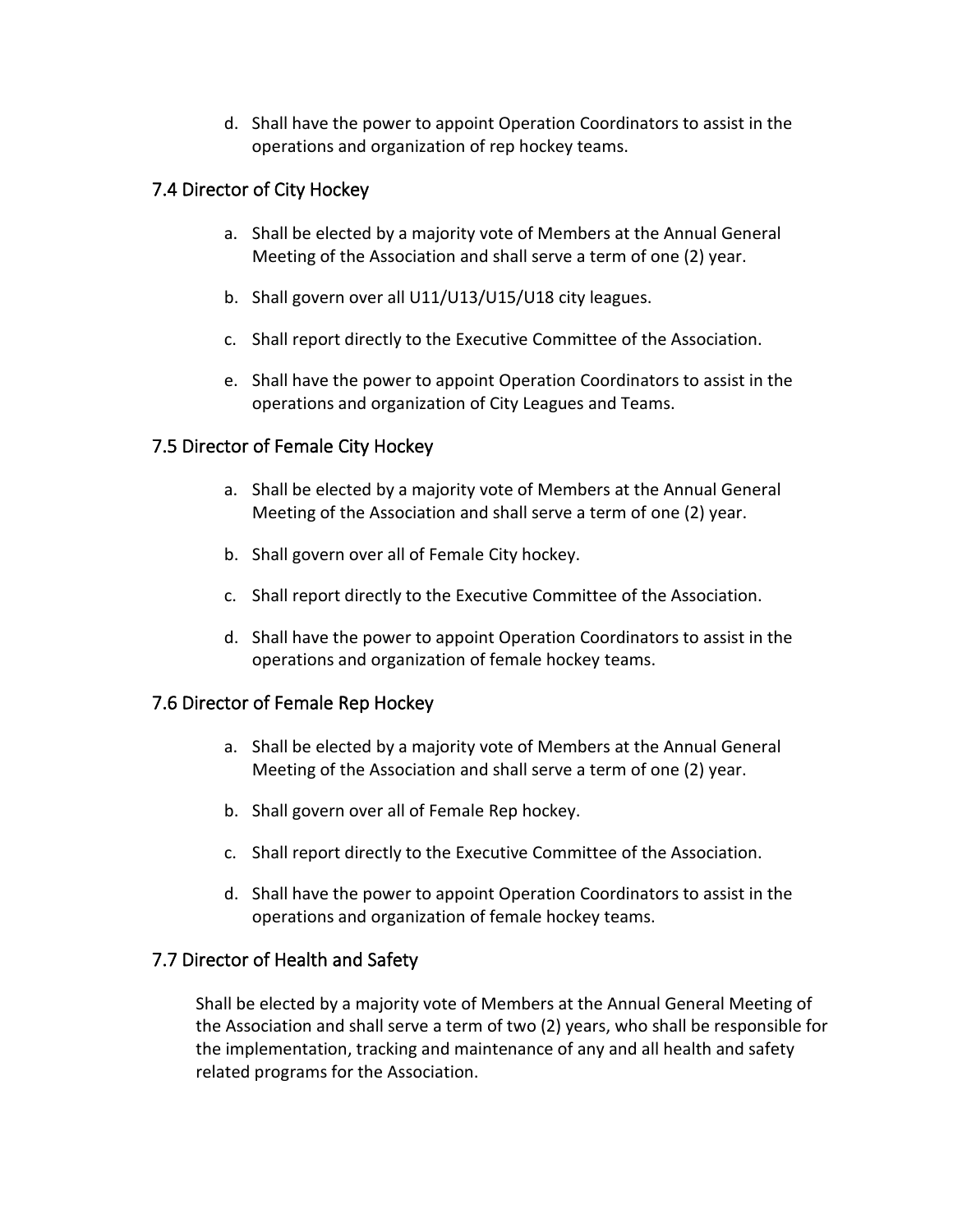d. Shall have the power to appoint Operation Coordinators to assist in the operations and organization of rep hockey teams.

#### <span id="page-22-0"></span>7.4 Director of City Hockey

- a. Shall be elected by a majority vote of Members at the Annual General Meeting of the Association and shall serve a term of one (2) year.
- b. Shall govern over all U11/U13/U15/U18 city leagues.
- c. Shall report directly to the Executive Committee of the Association.
- e. Shall have the power to appoint Operation Coordinators to assist in the operations and organization of City Leagues and Teams.

#### <span id="page-22-1"></span>7.5 Director of Female City Hockey

- a. Shall be elected by a majority vote of Members at the Annual General Meeting of the Association and shall serve a term of one (2) year.
- b. Shall govern over all of Female City hockey.
- c. Shall report directly to the Executive Committee of the Association.
- d. Shall have the power to appoint Operation Coordinators to assist in the operations and organization of female hockey teams.

#### 7.6 Director of Female Rep Hockey

- a. Shall be elected by a majority vote of Members at the Annual General Meeting of the Association and shall serve a term of one (2) year.
- b. Shall govern over all of Female Rep hockey.
- c. Shall report directly to the Executive Committee of the Association.
- d. Shall have the power to appoint Operation Coordinators to assist in the operations and organization of female hockey teams.

#### <span id="page-22-2"></span>7.7 Director of Health and Safety

Shall be elected by a majority vote of Members at the Annual General Meeting of the Association and shall serve a term of two (2) years, who shall be responsible for the implementation, tracking and maintenance of any and all health and safety related programs for the Association.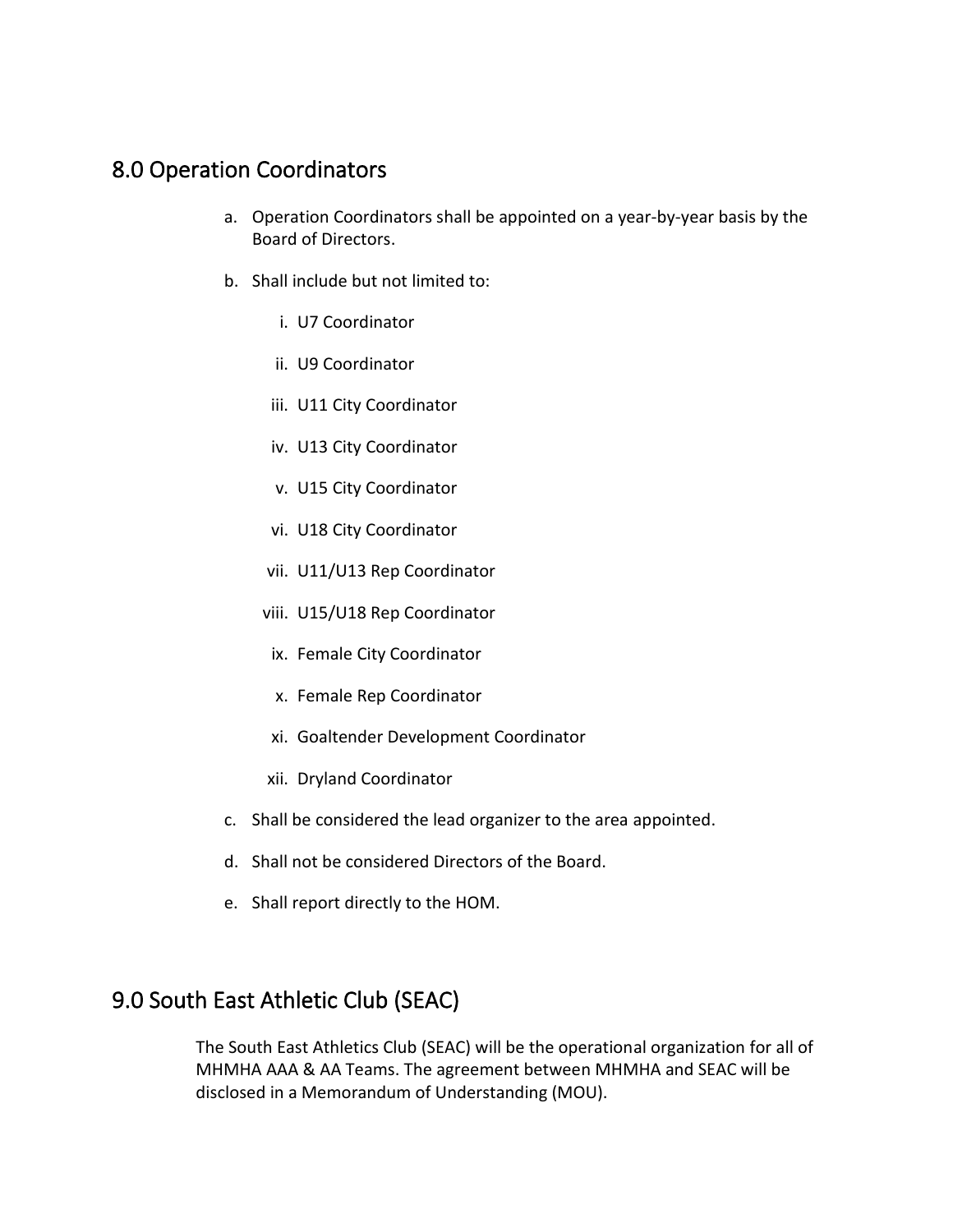## <span id="page-23-0"></span>8.0 Operation Coordinators

- a. Operation Coordinators shall be appointed on a year-by-year basis by the Board of Directors.
- b. Shall include but not limited to:
	- i. U7 Coordinator
	- ii. U9 Coordinator
	- iii. U11 City Coordinator
	- iv. U13 City Coordinator
	- v. U15 City Coordinator
	- vi. U18 City Coordinator
	- vii. U11/U13 Rep Coordinator
	- viii. U15/U18 Rep Coordinator
	- ix. Female City Coordinator
	- x. Female Rep Coordinator
	- xi. Goaltender Development Coordinator
	- xii. Dryland Coordinator
- c. Shall be considered the lead organizer to the area appointed.
- d. Shall not be considered Directors of the Board.
- e. Shall report directly to the HOM.

## <span id="page-23-1"></span>9.0 South East Athletic Club (SEAC)

The South East Athletics Club (SEAC) will be the operational organization for all of MHMHA AAA & AA Teams. The agreement between MHMHA and SEAC will be disclosed in a Memorandum of Understanding (MOU).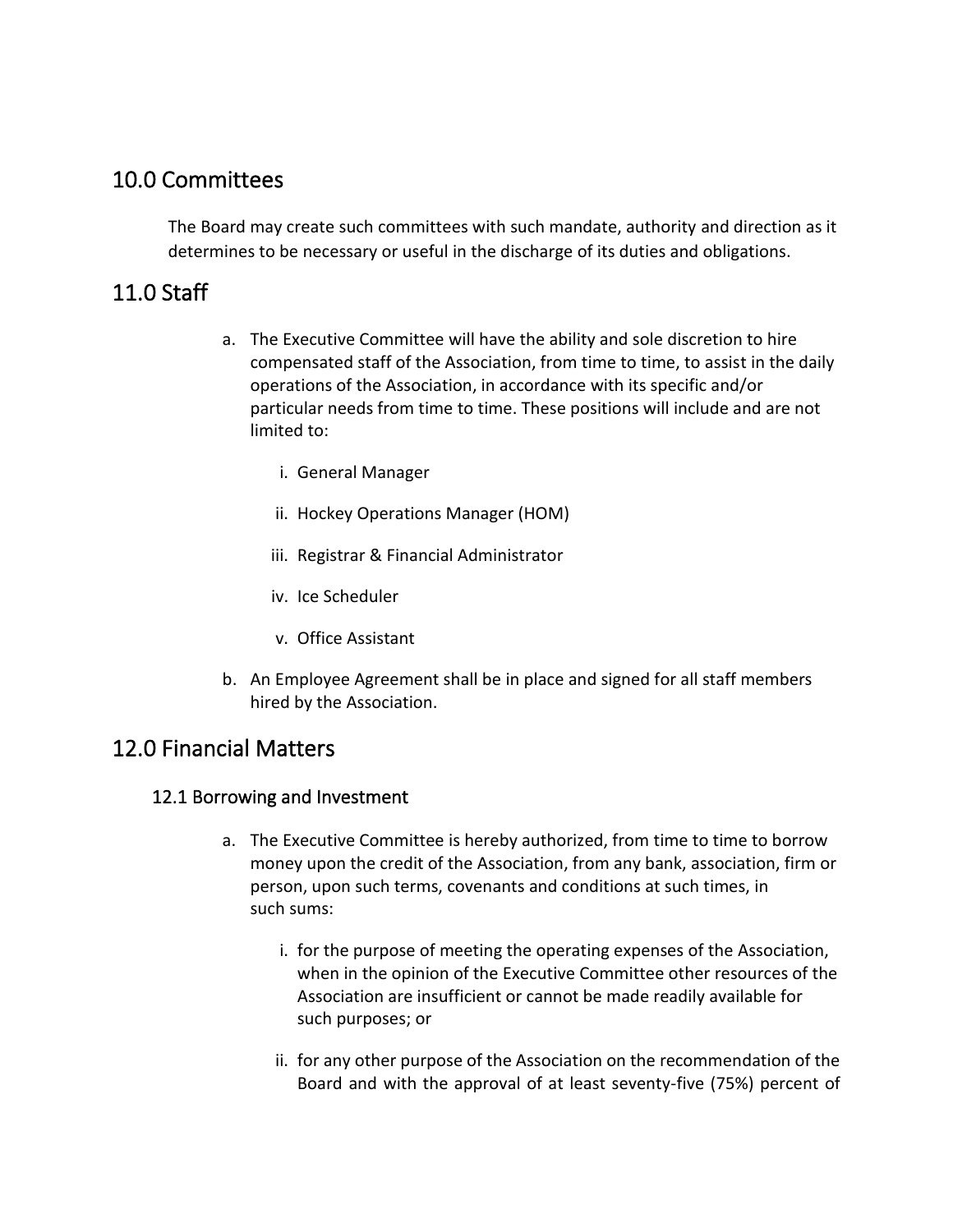## <span id="page-24-0"></span>10.0 Committees

The Board may create such committees with such mandate, authority and direction as it determines to be necessary or useful in the discharge of its duties and obligations.

## <span id="page-24-1"></span>11.0 Staff

- a. The Executive Committee will have the ability and sole discretion to hire compensated staff of the Association, from time to time, to assist in the daily operations of the Association, in accordance with its specific and/or particular needs from time to time. These positions will include and are not limited to:
	- i. General Manager
	- ii. Hockey Operations Manager (HOM)
	- iii. Registrar & Financial Administrator
	- iv. Ice Scheduler
	- v. Office Assistant
- b. An Employee Agreement shall be in place and signed for all staff members hired by the Association.

## <span id="page-24-2"></span>12.0 Financial Matters

#### <span id="page-24-3"></span>12.1 Borrowing and Investment

- a. The Executive Committee is hereby authorized, from time to time to borrow money upon the credit of the Association, from any bank, association, firm or person, upon such terms, covenants and conditions at such times, in such sums:
	- i. for the purpose of meeting the operating expenses of the Association, when in the opinion of the Executive Committee other resources of the Association are insufficient or cannot be made readily available for such purposes; or
	- ii. for any other purpose of the Association on the recommendation of the Board and with the approval of at least seventy-five (75%) percent of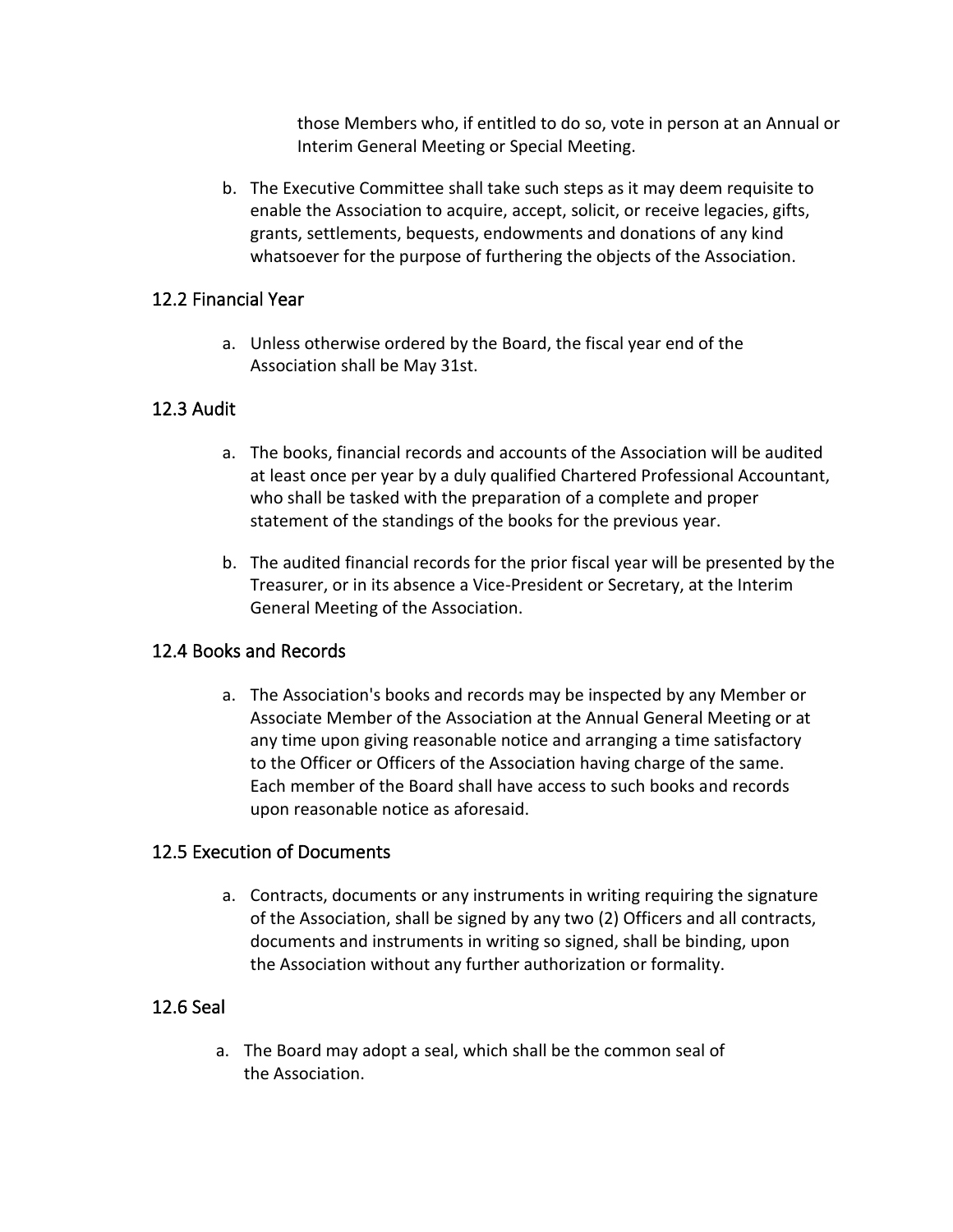those Members who, if entitled to do so, vote in person at an Annual or Interim General Meeting or Special Meeting.

b. The Executive Committee shall take such steps as it may deem requisite to enable the Association to acquire, accept, solicit, or receive legacies, gifts, grants, settlements, bequests, endowments and donations of any kind whatsoever for the purpose of furthering the objects of the Association.

#### <span id="page-25-0"></span>12.2 Financial Year

a. Unless otherwise ordered by the Board, the fiscal year end of the Association shall be May 31st.

#### <span id="page-25-1"></span>12.3 Audit

- a. The books, financial records and accounts of the Association will be audited at least once per year by a duly qualified Chartered Professional Accountant, who shall be tasked with the preparation of a complete and proper statement of the standings of the books for the previous year.
- b. The audited financial records for the prior fiscal year will be presented by the Treasurer, or in its absence a Vice-President or Secretary, at the Interim General Meeting of the Association.

#### <span id="page-25-2"></span>12.4 Books and Records

a. The Association's books and records may be inspected by any Member or Associate Member of the Association at the Annual General Meeting or at any time upon giving reasonable notice and arranging a time satisfactory to the Officer or Officers of the Association having charge of the same. Each member of the Board shall have access to such books and records upon reasonable notice as aforesaid.

#### <span id="page-25-3"></span>12.5 Execution of Documents

a. Contracts, documents or any instruments in writing requiring the signature of the Association, shall be signed by any two (2) Officers and all contracts, documents and instruments in writing so signed, shall be binding, upon the Association without any further authorization or formality.

#### <span id="page-25-4"></span>12.6 Seal

a. The Board may adopt a seal, which shall be the common seal of the Association.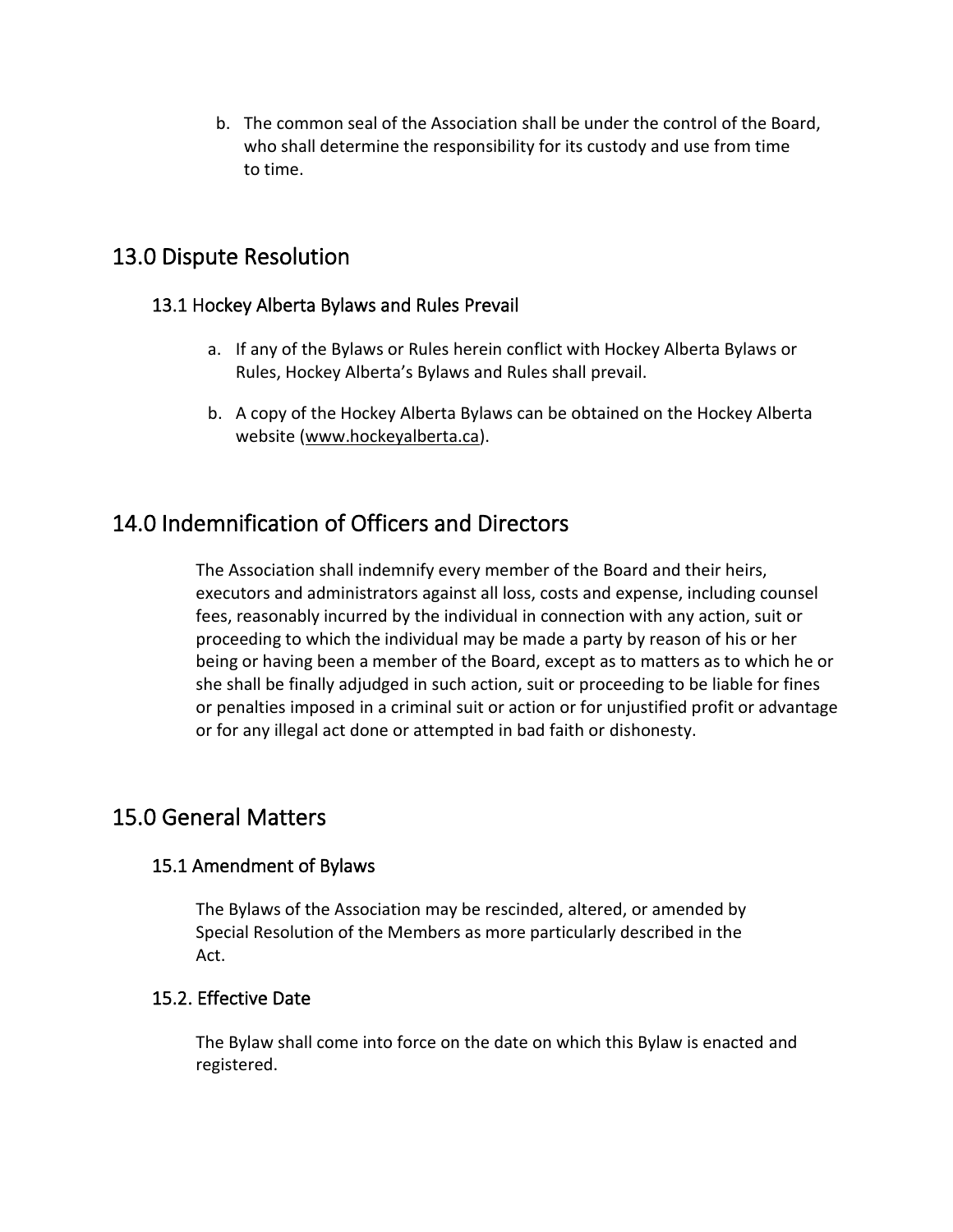b. The common seal of the Association shall be under the control of the Board, who shall determine the responsibility for its custody and use from time to time.

## <span id="page-26-0"></span>13.0 Dispute Resolution

#### <span id="page-26-1"></span>13.1 Hockey Alberta Bylaws and Rules Prevail

- a. If any of the Bylaws or Rules herein conflict with Hockey Alberta Bylaws or Rules, Hockey Alberta's Bylaws and Rules shall prevail.
- b. A copy of the Hockey Alberta Bylaws can be obtained on the Hockey Alberta website [\(www.hockeyalberta.ca\)](http://www.hockeyalberta.ca/).

## <span id="page-26-2"></span>14.0 Indemnification of Officers and Directors

The Association shall indemnify every member of the Board and their heirs, executors and administrators against all loss, costs and expense, including counsel fees, reasonably incurred by the individual in connection with any action, suit or proceeding to which the individual may be made a party by reason of his or her being or having been a member of the Board, except as to matters as to which he or she shall be finally adjudged in such action, suit or proceeding to be liable for fines or penalties imposed in a criminal suit or action or for unjustified profit or advantage or for any illegal act done or attempted in bad faith or dishonesty.

## <span id="page-26-3"></span>15.0 General Matters

#### <span id="page-26-4"></span>15.1 Amendment of Bylaws

The Bylaws of the Association may be rescinded, altered, or amended by Special Resolution of the Members as more particularly described in the Act.

#### <span id="page-26-5"></span>15.2. Effective Date

The Bylaw shall come into force on the date on which this Bylaw is enacted and registered.